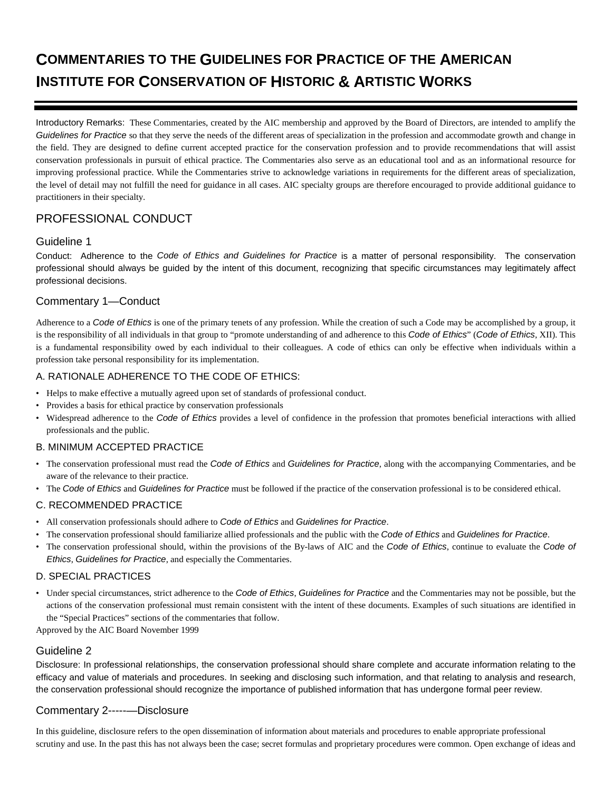# **COMMENTARIES TO THE GUIDELINES FOR PRACTICE OF THE AMERICAN INSTITUTE FOR CONSERVATION OF HISTORIC & ARTISTIC WORKS**

Introductory Remarks: These Commentaries, created by the AIC membership and approved by the Board of Directors, are intended to amplify the *Guidelines for Practice* so that they serve the needs of the different areas of specialization in the profession and accommodate growth and change in the field. They are designed to define current accepted practice for the conservation profession and to provide recommendations that will assist conservation professionals in pursuit of ethical practice. The Commentaries also serve as an educational tool and as an informational resource for improving professional practice. While the Commentaries strive to acknowledge variations in requirements for the different areas of specialization, the level of detail may not fulfill the need for guidance in all cases. AIC specialty groups are therefore encouraged to provide additional guidance to practitioners in their specialty.

# PROFESSIONAL CONDUCT

### Guideline 1

Conduct: Adherence to the *Code of Ethics and Guidelines for Practice* is a matter of personal responsibility. The conservation professional should always be guided by the intent of this document, recognizing that specific circumstances may legitimately affect professional decisions.

### Commentary 1—Conduct

Adherence to a *Code of Ethics* is one of the primary tenets of any profession. While the creation of such a Code may be accomplished by a group, it is the responsibility of all individuals in that group to "promote understanding of and adherence to this *Code of Ethics*" (*Code of Ethics*, XII). This is a fundamental responsibility owed by each individual to their colleagues. A code of ethics can only be effective when individuals within a profession take personal responsibility for its implementation.

### A. RATIONALE ADHERENCE TO THE CODE OF ETHICS:

- Helps to make effective a mutually agreed upon set of standards of professional conduct.
- Provides a basis for ethical practice by conservation professionals
- Widespread adherence to the *Code of Ethics* provides a level of confidence in the profession that promotes beneficial interactions with allied professionals and the public.

### B. MINIMUM ACCEPTED PRACTICE

- The conservation professional must read the *Code of Ethics* and *Guidelines for Practice*, along with the accompanying Commentaries, and be aware of the relevance to their practice.
- The *Code of Ethics* and *Guidelines for Practice* must be followed if the practice of the conservation professional is to be considered ethical.

### C. RECOMMENDED PRACTICE

- All conservation professionals should adhere to *Code of Ethics* and *Guidelines for Practice*.
- The conservation professional should familiarize allied professionals and the public with the *Code of Ethics* and *Guidelines for Practice*.
- The conservation professional should, within the provisions of the By-laws of AIC and the *Code of Ethics*, continue to evaluate the *Code of Ethics*, *Guidelines for Practice*, and especially the Commentaries.

### D. SPECIAL PRACTICES

• Under special circumstances, strict adherence to the *Code of Ethics*, *Guidelines for Practice* and the Commentaries may not be possible, but the actions of the conservation professional must remain consistent with the intent of these documents. Examples of such situations are identified in the "Special Practices" sections of the commentaries that follow.

Approved by the AIC Board November 1999

### Guideline 2

Disclosure: In professional relationships, the conservation professional should share complete and accurate information relating to the efficacy and value of materials and procedures. In seeking and disclosing such information, and that relating to analysis and research, the conservation professional should recognize the importance of published information that has undergone formal peer review.

# Commentary 2-----—Disclosure

In this guideline, disclosure refers to the open dissemination of information about materials and procedures to enable appropriate professional scrutiny and use. In the past this has not always been the case; secret formulas and proprietary procedures were common. Open exchange of ideas and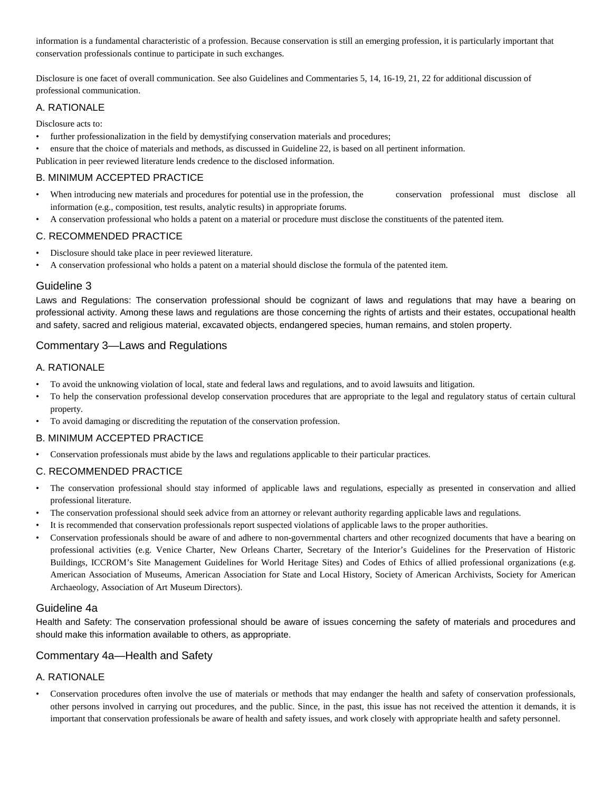information is a fundamental characteristic of a profession. Because conservation is still an emerging profession, it is particularly important that conservation professionals continue to participate in such exchanges.

Disclosure is one facet of overall communication. See also Guidelines and Commentaries 5, 14, 16-19, 21, 22 for additional discussion of professional communication.

#### A. RATIONALE

Disclosure acts to:

- further professionalization in the field by demystifying conservation materials and procedures;
- ensure that the choice of materials and methods, as discussed in Guideline 22, is based on all pertinent information.
- Publication in peer reviewed literature lends credence to the disclosed information.

#### B. MINIMUM ACCEPTED PRACTICE

- When introducing new materials and procedures for potential use in the profession, the conservation professional must disclose all information (e.g., composition, test results, analytic results) in appropriate forums.
- A conservation professional who holds a patent on a material or procedure must disclose the constituents of the patented item.

### C. RECOMMENDED PRACTICE

- Disclosure should take place in peer reviewed literature.
- A conservation professional who holds a patent on a material should disclose the formula of the patented item.

### Guideline 3

Laws and Regulations: The conservation professional should be cognizant of laws and regulations that may have a bearing on professional activity. Among these laws and regulations are those concerning the rights of artists and their estates, occupational health and safety, sacred and religious material, excavated objects, endangered species, human remains, and stolen property.

### Commentary 3—Laws and Regulations

### A. RATIONALE

- To avoid the unknowing violation of local, state and federal laws and regulations, and to avoid lawsuits and litigation.
- To help the conservation professional develop conservation procedures that are appropriate to the legal and regulatory status of certain cultural property.
- To avoid damaging or discrediting the reputation of the conservation profession.

#### B. MINIMUM ACCEPTED PRACTICE

• Conservation professionals must abide by the laws and regulations applicable to their particular practices.

#### C. RECOMMENDED PRACTICE

- The conservation professional should stay informed of applicable laws and regulations, especially as presented in conservation and allied professional literature.
- The conservation professional should seek advice from an attorney or relevant authority regarding applicable laws and regulations.
- It is recommended that conservation professionals report suspected violations of applicable laws to the proper authorities.
- Conservation professionals should be aware of and adhere to non-governmental charters and other recognized documents that have a bearing on professional activities (e.g. Venice Charter, New Orleans Charter, Secretary of the Interior's Guidelines for the Preservation of Historic Buildings, ICCROM's Site Management Guidelines for World Heritage Sites) and Codes of Ethics of allied professional organizations (e.g. American Association of Museums, American Association for State and Local History, Society of American Archivists, Society for American Archaeology, Association of Art Museum Directors).

#### Guideline 4a

Health and Safety: The conservation professional should be aware of issues concerning the safety of materials and procedures and should make this information available to others, as appropriate.

### Commentary 4a—Health and Safety

### A. RATIONALE

• Conservation procedures often involve the use of materials or methods that may endanger the health and safety of conservation professionals, other persons involved in carrying out procedures, and the public. Since, in the past, this issue has not received the attention it demands, it is important that conservation professionals be aware of health and safety issues, and work closely with appropriate health and safety personnel.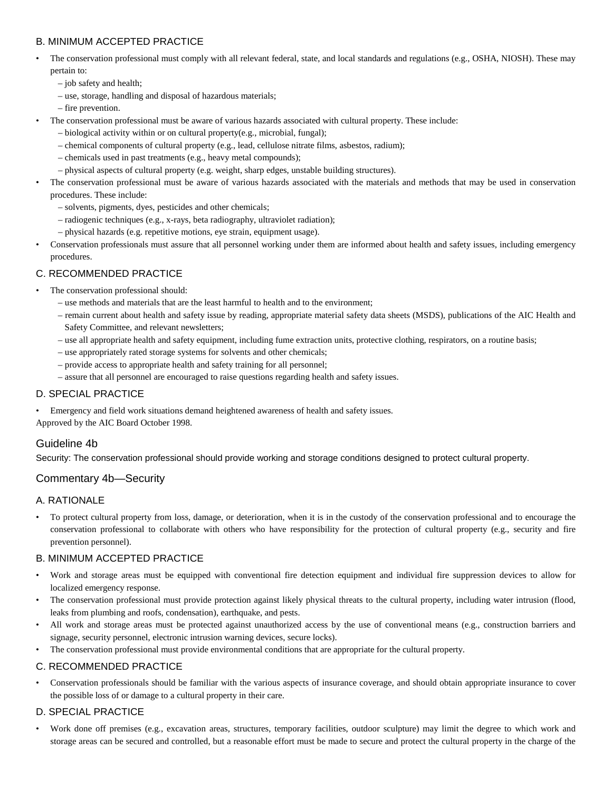### B. MINIMUM ACCEPTED PRACTICE

- The conservation professional must comply with all relevant federal, state, and local standards and regulations (e.g., OSHA, NIOSH). These may pertain to:
	- job safety and health;
	- use, storage, handling and disposal of hazardous materials;
	- fire prevention.
	- The conservation professional must be aware of various hazards associated with cultural property. These include:
		- biological activity within or on cultural property(e.g., microbial, fungal);
		- chemical components of cultural property (e.g., lead, cellulose nitrate films, asbestos, radium);
		- chemicals used in past treatments (e.g., heavy metal compounds);
		- physical aspects of cultural property (e.g. weight, sharp edges, unstable building structures).
- The conservation professional must be aware of various hazards associated with the materials and methods that may be used in conservation procedures. These include:
	- solvents, pigments, dyes, pesticides and other chemicals;
	- radiogenic techniques (e.g., x-rays, beta radiography, ultraviolet radiation);
	- physical hazards (e.g. repetitive motions, eye strain, equipment usage).
- Conservation professionals must assure that all personnel working under them are informed about health and safety issues, including emergency procedures.

### C. RECOMMENDED PRACTICE

- The conservation professional should:
	- use methods and materials that are the least harmful to health and to the environment;
	- remain current about health and safety issue by reading, appropriate material safety data sheets (MSDS), publications of the AIC Health and Safety Committee, and relevant newsletters;
	- use all appropriate health and safety equipment, including fume extraction units, protective clothing, respirators, on a routine basis;
	- use appropriately rated storage systems for solvents and other chemicals;
	- provide access to appropriate health and safety training for all personnel;
	- assure that all personnel are encouraged to raise questions regarding health and safety issues.

#### D. SPECIAL PRACTICE

- Emergency and field work situations demand heightened awareness of health and safety issues.
- Approved by the AIC Board October 1998.

### Guideline 4b

Security: The conservation professional should provide working and storage conditions designed to protect cultural property.

### Commentary 4b—Security

#### A. RATIONALE

• To protect cultural property from loss, damage, or deterioration, when it is in the custody of the conservation professional and to encourage the conservation professional to collaborate with others who have responsibility for the protection of cultural property (e.g., security and fire prevention personnel).

#### B. MINIMUM ACCEPTED PRACTICE

- Work and storage areas must be equipped with conventional fire detection equipment and individual fire suppression devices to allow for localized emergency response.
- The conservation professional must provide protection against likely physical threats to the cultural property, including water intrusion (flood, leaks from plumbing and roofs, condensation), earthquake, and pests.
- All work and storage areas must be protected against unauthorized access by the use of conventional means (e.g., construction barriers and signage, security personnel, electronic intrusion warning devices, secure locks).
- The conservation professional must provide environmental conditions that are appropriate for the cultural property.

#### C. RECOMMENDED PRACTICE

• Conservation professionals should be familiar with the various aspects of insurance coverage, and should obtain appropriate insurance to cover the possible loss of or damage to a cultural property in their care.

### D. SPECIAL PRACTICE

• Work done off premises (e.g., excavation areas, structures, temporary facilities, outdoor sculpture) may limit the degree to which work and storage areas can be secured and controlled, but a reasonable effort must be made to secure and protect the cultural property in the charge of the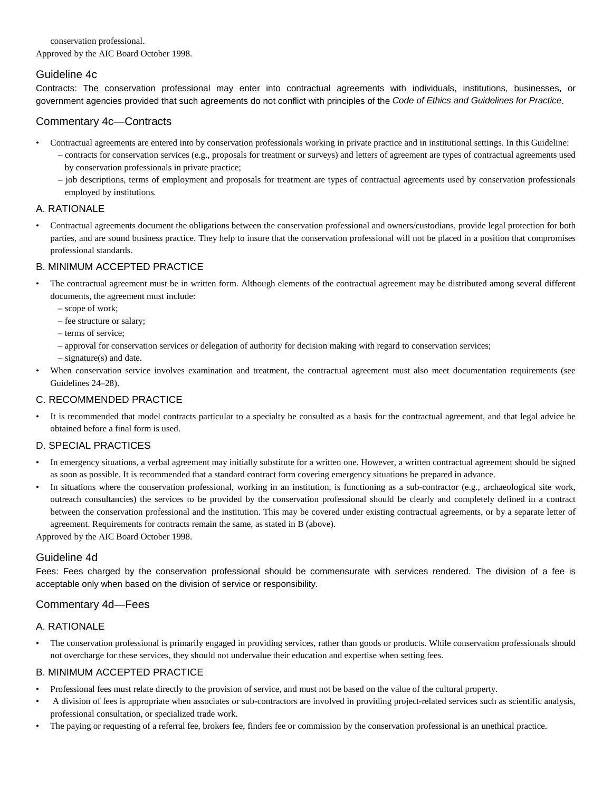conservation professional. Approved by the AIC Board October 1998.

# Guideline 4c

Contracts: The conservation professional may enter into contractual agreements with individuals, institutions, businesses, or government agencies provided that such agreements do not conflict with principles of the *Code of Ethics and Guidelines for Practice*.

### Commentary 4c—Contracts

- Contractual agreements are entered into by conservation professionals working in private practice and in institutional settings. In this Guideline: – contracts for conservation services (e.g., proposals for treatment or surveys) and letters of agreement are types of contractual agreements used by conservation professionals in private practice;
	- job descriptions, terms of employment and proposals for treatment are types of contractual agreements used by conservation professionals employed by institutions.

### A. RATIONALE

• Contractual agreements document the obligations between the conservation professional and owners/custodians, provide legal protection for both parties, and are sound business practice. They help to insure that the conservation professional will not be placed in a position that compromises professional standards.

### B. MINIMUM ACCEPTED PRACTICE

- The contractual agreement must be in written form. Although elements of the contractual agreement may be distributed among several different documents, the agreement must include:
	- scope of work;
	- fee structure or salary;
	- terms of service;
	- approval for conservation services or delegation of authority for decision making with regard to conservation services;
	- signature(s) and date.
- When conservation service involves examination and treatment, the contractual agreement must also meet documentation requirements (see Guidelines 24–28).

### C. RECOMMENDED PRACTICE

• It is recommended that model contracts particular to a specialty be consulted as a basis for the contractual agreement, and that legal advice be obtained before a final form is used.

### D. SPECIAL PRACTICES

- In emergency situations, a verbal agreement may initially substitute for a written one. However, a written contractual agreement should be signed as soon as possible. It is recommended that a standard contract form covering emergency situations be prepared in advance.
- In situations where the conservation professional, working in an institution, is functioning as a sub-contractor (e.g., archaeological site work, outreach consultancies) the services to be provided by the conservation professional should be clearly and completely defined in a contract between the conservation professional and the institution. This may be covered under existing contractual agreements, or by a separate letter of agreement. Requirements for contracts remain the same, as stated in B (above).

Approved by the AIC Board October 1998.

### Guideline 4d

Fees: Fees charged by the conservation professional should be commensurate with services rendered. The division of a fee is acceptable only when based on the division of service or responsibility.

### Commentary 4d—Fees

### A. RATIONALE

• The conservation professional is primarily engaged in providing services, rather than goods or products. While conservation professionals should not overcharge for these services, they should not undervalue their education and expertise when setting fees.

- Professional fees must relate directly to the provision of service, and must not be based on the value of the cultural property.
- A division of fees is appropriate when associates or sub-contractors are involved in providing project-related services such as scientific analysis, professional consultation, or specialized trade work.
- The paying or requesting of a referral fee, brokers fee, finders fee or commission by the conservation professional is an unethical practice.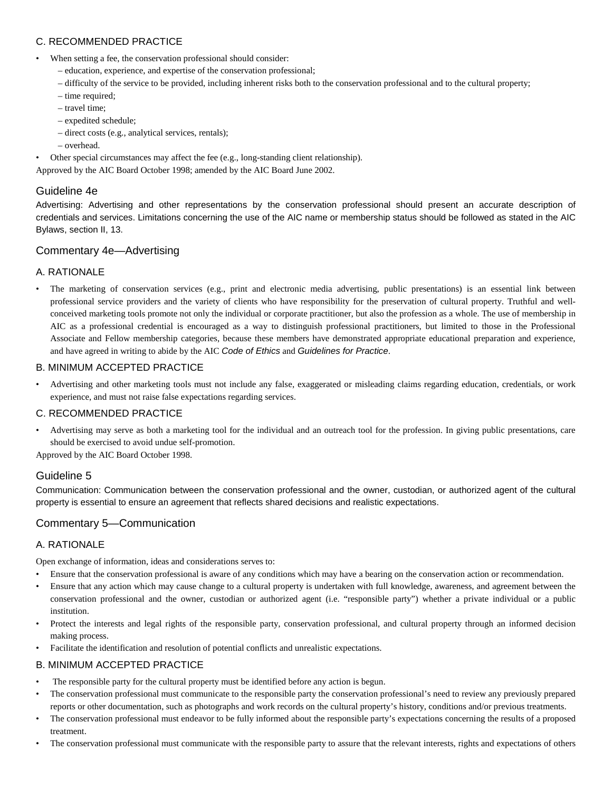### C. RECOMMENDED PRACTICE

- When setting a fee, the conservation professional should consider:
	- education, experience, and expertise of the conservation professional;
	- difficulty of the service to be provided, including inherent risks both to the conservation professional and to the cultural property;
	- time required;
	- travel time;
	- expedited schedule;
	- direct costs (e.g., analytical services, rentals);
	- overhead.
- Other special circumstances may affect the fee (e.g., long-standing client relationship).

Approved by the AIC Board October 1998; amended by the AIC Board June 2002.

# Guideline 4e

Advertising: Advertising and other representations by the conservation professional should present an accurate description of credentials and services. Limitations concerning the use of the AIC name or membership status should be followed as stated in the AIC Bylaws, section II, 13.

### Commentary 4e—Advertising

### A. RATIONALE

The marketing of conservation services (e.g., print and electronic media advertising, public presentations) is an essential link between professional service providers and the variety of clients who have responsibility for the preservation of cultural property. Truthful and wellconceived marketing tools promote not only the individual or corporate practitioner, but also the profession as a whole. The use of membership in AIC as a professional credential is encouraged as a way to distinguish professional practitioners, but limited to those in the Professional Associate and Fellow membership categories, because these members have demonstrated appropriate educational preparation and experience, and have agreed in writing to abide by the AIC *Code of Ethics* and *Guidelines for Practice*.

### B. MINIMUM ACCEPTED PRACTICE

• Advertising and other marketing tools must not include any false, exaggerated or misleading claims regarding education, credentials, or work experience, and must not raise false expectations regarding services.

#### C. RECOMMENDED PRACTICE

• Advertising may serve as both a marketing tool for the individual and an outreach tool for the profession. In giving public presentations, care should be exercised to avoid undue self-promotion.

Approved by the AIC Board October 1998.

### Guideline 5

Communication: Communication between the conservation professional and the owner, custodian, or authorized agent of the cultural property is essential to ensure an agreement that reflects shared decisions and realistic expectations.

### Commentary 5—Communication

### A. RATIONALE

Open exchange of information, ideas and considerations serves to:

- Ensure that the conservation professional is aware of any conditions which may have a bearing on the conservation action or recommendation.
- Ensure that any action which may cause change to a cultural property is undertaken with full knowledge, awareness, and agreement between the conservation professional and the owner, custodian or authorized agent (i.e. "responsible party") whether a private individual or a public institution.
- Protect the interests and legal rights of the responsible party, conservation professional, and cultural property through an informed decision making process.
- Facilitate the identification and resolution of potential conflicts and unrealistic expectations.

- The responsible party for the cultural property must be identified before any action is begun.
- The conservation professional must communicate to the responsible party the conservation professional's need to review any previously prepared reports or other documentation, such as photographs and work records on the cultural property's history, conditions and/or previous treatments.
- The conservation professional must endeavor to be fully informed about the responsible party's expectations concerning the results of a proposed treatment.
- The conservation professional must communicate with the responsible party to assure that the relevant interests, rights and expectations of others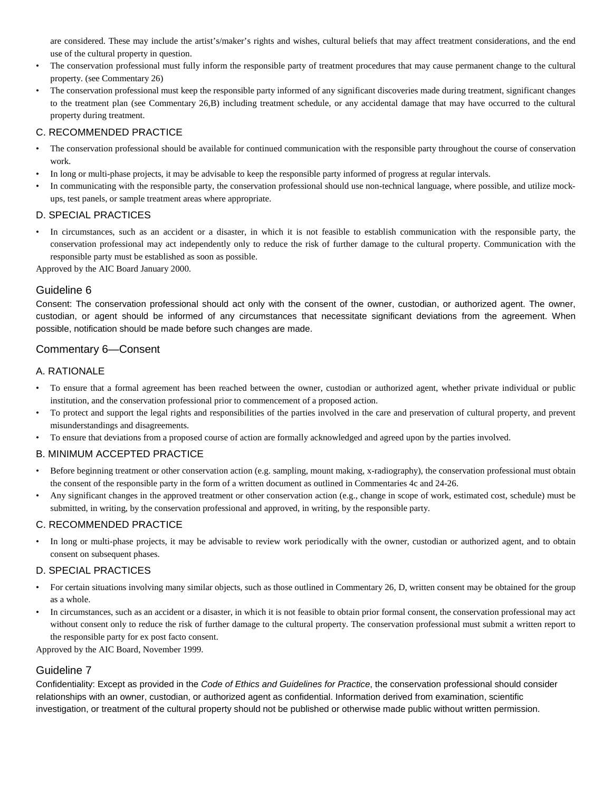are considered. These may include the artist's/maker's rights and wishes, cultural beliefs that may affect treatment considerations, and the end use of the cultural property in question.

- The conservation professional must fully inform the responsible party of treatment procedures that may cause permanent change to the cultural property. (see Commentary 26)
- The conservation professional must keep the responsible party informed of any significant discoveries made during treatment, significant changes to the treatment plan (see Commentary 26,B) including treatment schedule, or any accidental damage that may have occurred to the cultural property during treatment.

### C. RECOMMENDED PRACTICE

- The conservation professional should be available for continued communication with the responsible party throughout the course of conservation work.
- In long or multi-phase projects, it may be advisable to keep the responsible party informed of progress at regular intervals.
- In communicating with the responsible party, the conservation professional should use non-technical language, where possible, and utilize mockups, test panels, or sample treatment areas where appropriate.

#### D. SPECIAL PRACTICES

In circumstances, such as an accident or a disaster, in which it is not feasible to establish communication with the responsible party, the conservation professional may act independently only to reduce the risk of further damage to the cultural property. Communication with the responsible party must be established as soon as possible.

Approved by the AIC Board January 2000.

#### Guideline 6

Consent: The conservation professional should act only with the consent of the owner, custodian, or authorized agent. The owner, custodian, or agent should be informed of any circumstances that necessitate significant deviations from the agreement. When possible, notification should be made before such changes are made.

### Commentary 6—Consent

#### A. RATIONALE

- To ensure that a formal agreement has been reached between the owner, custodian or authorized agent, whether private individual or public institution, and the conservation professional prior to commencement of a proposed action.
- To protect and support the legal rights and responsibilities of the parties involved in the care and preservation of cultural property, and prevent misunderstandings and disagreements.
- To ensure that deviations from a proposed course of action are formally acknowledged and agreed upon by the parties involved.

#### B. MINIMUM ACCEPTED PRACTICE

- Before beginning treatment or other conservation action (e.g. sampling, mount making, x-radiography), the conservation professional must obtain the consent of the responsible party in the form of a written document as outlined in Commentaries 4c and 24-26.
- Any significant changes in the approved treatment or other conservation action (e.g., change in scope of work, estimated cost, schedule) must be submitted, in writing, by the conservation professional and approved, in writing, by the responsible party.

#### C. RECOMMENDED PRACTICE

• In long or multi-phase projects, it may be advisable to review work periodically with the owner, custodian or authorized agent, and to obtain consent on subsequent phases.

#### D. SPECIAL PRACTICES

- For certain situations involving many similar objects, such as those outlined in Commentary 26, D, written consent may be obtained for the group as a whole.
- In circumstances, such as an accident or a disaster, in which it is not feasible to obtain prior formal consent, the conservation professional may act without consent only to reduce the risk of further damage to the cultural property. The conservation professional must submit a written report to the responsible party for ex post facto consent.

Approved by the AIC Board, November 1999.

#### Guideline 7

Confidentiality: Except as provided in the *Code of Ethics and Guidelines for Practice*, the conservation professional should consider relationships with an owner, custodian, or authorized agent as confidential. Information derived from examination, scientific investigation, or treatment of the cultural property should not be published or otherwise made public without written permission.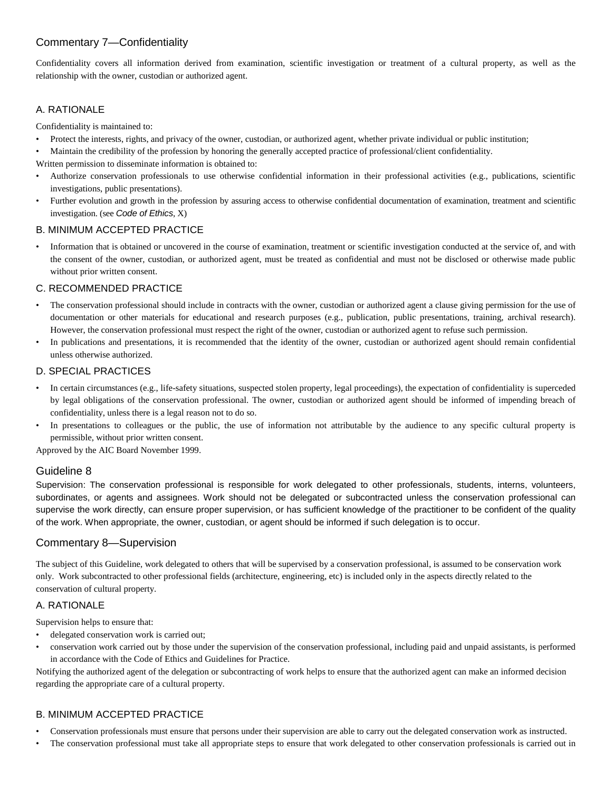# Commentary 7—Confidentiality

Confidentiality covers all information derived from examination, scientific investigation or treatment of a cultural property, as well as the relationship with the owner, custodian or authorized agent.

### A. RATIONALE

Confidentiality is maintained to:

- Protect the interests, rights, and privacy of the owner, custodian, or authorized agent, whether private individual or public institution;
- Maintain the credibility of the profession by honoring the generally accepted practice of professional/client confidentiality.
- Written permission to disseminate information is obtained to:
- Authorize conservation professionals to use otherwise confidential information in their professional activities (e.g., publications, scientific investigations, public presentations).
- Further evolution and growth in the profession by assuring access to otherwise confidential documentation of examination, treatment and scientific investigation. (see *Code of Ethics*, X)

### B. MINIMUM ACCEPTED PRACTICE

• Information that is obtained or uncovered in the course of examination, treatment or scientific investigation conducted at the service of, and with the consent of the owner, custodian, or authorized agent, must be treated as confidential and must not be disclosed or otherwise made public without prior written consent.

### C. RECOMMENDED PRACTICE

- The conservation professional should include in contracts with the owner, custodian or authorized agent a clause giving permission for the use of documentation or other materials for educational and research purposes (e.g., publication, public presentations, training, archival research). However, the conservation professional must respect the right of the owner, custodian or authorized agent to refuse such permission.
- In publications and presentations, it is recommended that the identity of the owner, custodian or authorized agent should remain confidential unless otherwise authorized.

### D. SPECIAL PRACTICES

- In certain circumstances (e.g., life-safety situations, suspected stolen property, legal proceedings), the expectation of confidentiality is superceded by legal obligations of the conservation professional. The owner, custodian or authorized agent should be informed of impending breach of confidentiality, unless there is a legal reason not to do so.
- In presentations to colleagues or the public, the use of information not attributable by the audience to any specific cultural property is permissible, without prior written consent.

Approved by the AIC Board November 1999.

### Guideline 8

Supervision: The conservation professional is responsible for work delegated to other professionals, students, interns, volunteers, subordinates, or agents and assignees. Work should not be delegated or subcontracted unless the conservation professional can supervise the work directly, can ensure proper supervision, or has sufficient knowledge of the practitioner to be confident of the quality of the work. When appropriate, the owner, custodian, or agent should be informed if such delegation is to occur.

### Commentary 8—Supervision

The subject of this Guideline, work delegated to others that will be supervised by a conservation professional, is assumed to be conservation work only. Work subcontracted to other professional fields (architecture, engineering, etc) is included only in the aspects directly related to the conservation of cultural property.

#### A. RATIONALE

Supervision helps to ensure that:

- delegated conservation work is carried out;
- conservation work carried out by those under the supervision of the conservation professional, including paid and unpaid assistants, is performed in accordance with the Code of Ethics and Guidelines for Practice.

Notifying the authorized agent of the delegation or subcontracting of work helps to ensure that the authorized agent can make an informed decision regarding the appropriate care of a cultural property.

- Conservation professionals must ensure that persons under their supervision are able to carry out the delegated conservation work as instructed.
- The conservation professional must take all appropriate steps to ensure that work delegated to other conservation professionals is carried out in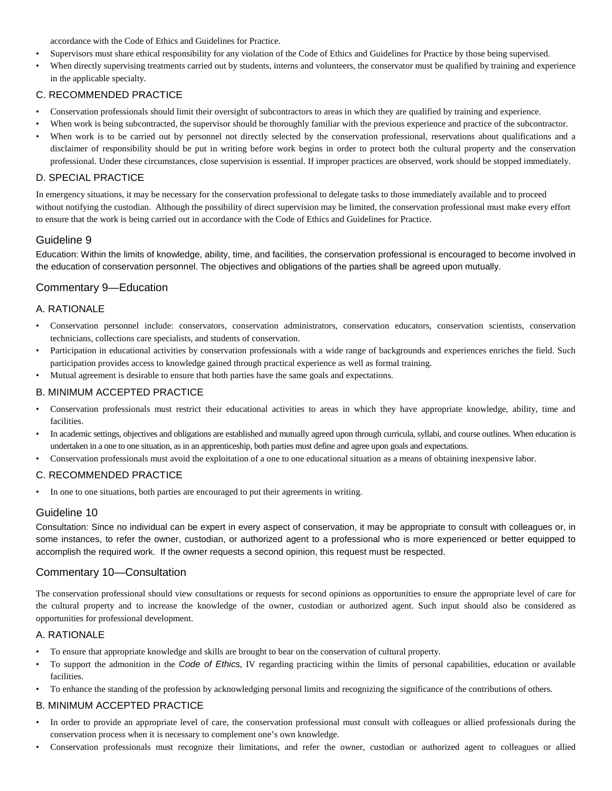accordance with the Code of Ethics and Guidelines for Practice.

- Supervisors must share ethical responsibility for any violation of the Code of Ethics and Guidelines for Practice by those being supervised.
- When directly supervising treatments carried out by students, interns and volunteers, the conservator must be qualified by training and experience in the applicable specialty.

#### C. RECOMMENDED PRACTICE

- Conservation professionals should limit their oversight of subcontractors to areas in which they are qualified by training and experience.
- When work is being subcontracted, the supervisor should be thoroughly familiar with the previous experience and practice of the subcontractor.
- When work is to be carried out by personnel not directly selected by the conservation professional, reservations about qualifications and a disclaimer of responsibility should be put in writing before work begins in order to protect both the cultural property and the conservation professional. Under these circumstances, close supervision is essential. If improper practices are observed, work should be stopped immediately.

#### D. SPECIAL PRACTICE

In emergency situations, it may be necessary for the conservation professional to delegate tasks to those immediately available and to proceed without notifying the custodian. Although the possibility of direct supervision may be limited, the conservation professional must make every effort to ensure that the work is being carried out in accordance with the Code of Ethics and Guidelines for Practice.

### Guideline 9

Education: Within the limits of knowledge, ability, time, and facilities, the conservation professional is encouraged to become involved in the education of conservation personnel. The objectives and obligations of the parties shall be agreed upon mutually.

### Commentary 9—Education

#### A. RATIONALE

- Conservation personnel include: conservators, conservation administrators, conservation educators, conservation scientists, conservation technicians, collections care specialists, and students of conservation.
- Participation in educational activities by conservation professionals with a wide range of backgrounds and experiences enriches the field. Such participation provides access to knowledge gained through practical experience as well as formal training.
- Mutual agreement is desirable to ensure that both parties have the same goals and expectations.

### B. MINIMUM ACCEPTED PRACTICE

- Conservation professionals must restrict their educational activities to areas in which they have appropriate knowledge, ability, time and facilities.
- In academic settings, objectives and obligations are established and mutually agreed upon through curricula, syllabi, and course outlines. When education is undertaken in a one to one situation, as in an apprenticeship, both parties must define and agree upon goals and expectations.
- Conservation professionals must avoid the exploitation of a one to one educational situation as a means of obtaining inexpensive labor.

#### C. RECOMMENDED PRACTICE

• In one to one situations, both parties are encouraged to put their agreements in writing.

#### Guideline 10

Consultation: Since no individual can be expert in every aspect of conservation, it may be appropriate to consult with colleagues or, in some instances, to refer the owner, custodian, or authorized agent to a professional who is more experienced or better equipped to accomplish the required work. If the owner requests a second opinion, this request must be respected.

### Commentary 10—Consultation

The conservation professional should view consultations or requests for second opinions as opportunities to ensure the appropriate level of care for the cultural property and to increase the knowledge of the owner, custodian or authorized agent. Such input should also be considered as opportunities for professional development.

#### A. RATIONALE

- To ensure that appropriate knowledge and skills are brought to bear on the conservation of cultural property.
- To support the admonition in the *Code of Ethics*, IV regarding practicing within the limits of personal capabilities, education or available facilities.
- To enhance the standing of the profession by acknowledging personal limits and recognizing the significance of the contributions of others.

- In order to provide an appropriate level of care, the conservation professional must consult with colleagues or allied professionals during the conservation process when it is necessary to complement one's own knowledge.
- Conservation professionals must recognize their limitations, and refer the owner, custodian or authorized agent to colleagues or allied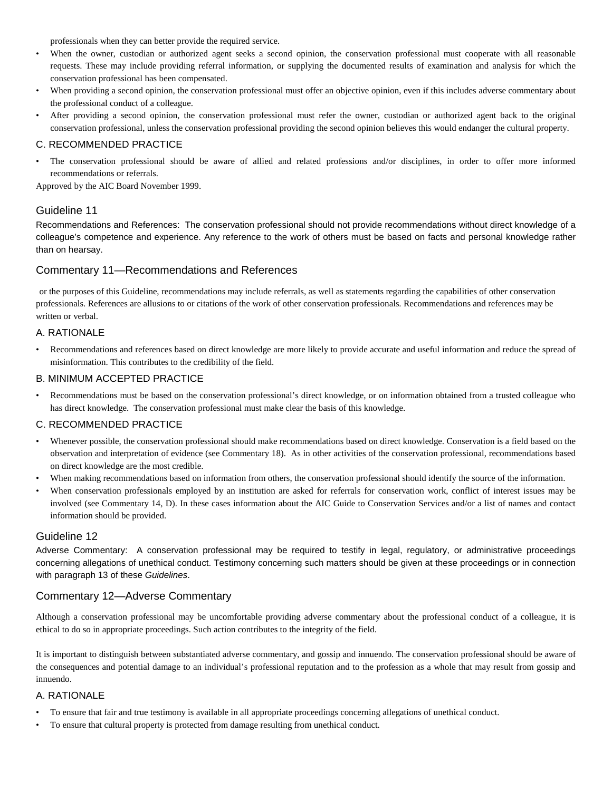professionals when they can better provide the required service.

- When the owner, custodian or authorized agent seeks a second opinion, the conservation professional must cooperate with all reasonable requests. These may include providing referral information, or supplying the documented results of examination and analysis for which the conservation professional has been compensated.
- When providing a second opinion, the conservation professional must offer an objective opinion, even if this includes adverse commentary about the professional conduct of a colleague.
- After providing a second opinion, the conservation professional must refer the owner, custodian or authorized agent back to the original conservation professional, unless the conservation professional providing the second opinion believes this would endanger the cultural property.

#### C. RECOMMENDED PRACTICE

• The conservation professional should be aware of allied and related professions and/or disciplines, in order to offer more informed recommendations or referrals.

Approved by the AIC Board November 1999.

### Guideline 11

Recommendations and References: The conservation professional should not provide recommendations without direct knowledge of a colleague's competence and experience. Any reference to the work of others must be based on facts and personal knowledge rather than on hearsay.

### Commentary 11—Recommendations and References

or the purposes of this Guideline, recommendations may include referrals, as well as statements regarding the capabilities of other conservation professionals. References are allusions to or citations of the work of other conservation professionals. Recommendations and references may be written or verbal.

#### A. RATIONALE

• Recommendations and references based on direct knowledge are more likely to provide accurate and useful information and reduce the spread of misinformation. This contributes to the credibility of the field.

#### B. MINIMUM ACCEPTED PRACTICE

• Recommendations must be based on the conservation professional's direct knowledge, or on information obtained from a trusted colleague who has direct knowledge. The conservation professional must make clear the basis of this knowledge.

#### C. RECOMMENDED PRACTICE

- Whenever possible, the conservation professional should make recommendations based on direct knowledge. Conservation is a field based on the observation and interpretation of evidence (see Commentary 18). As in other activities of the conservation professional, recommendations based on direct knowledge are the most credible.
- When making recommendations based on information from others, the conservation professional should identify the source of the information.
- When conservation professionals employed by an institution are asked for referrals for conservation work, conflict of interest issues may be involved (see Commentary 14, D). In these cases information about the AIC Guide to Conservation Services and/or a list of names and contact information should be provided.

#### Guideline 12

Adverse Commentary: A conservation professional may be required to testify in legal, regulatory, or administrative proceedings concerning allegations of unethical conduct. Testimony concerning such matters should be given at these proceedings or in connection with paragraph 13 of these *Guidelines*.

### Commentary 12—Adverse Commentary

Although a conservation professional may be uncomfortable providing adverse commentary about the professional conduct of a colleague, it is ethical to do so in appropriate proceedings. Such action contributes to the integrity of the field.

It is important to distinguish between substantiated adverse commentary, and gossip and innuendo. The conservation professional should be aware of the consequences and potential damage to an individual's professional reputation and to the profession as a whole that may result from gossip and innuendo.

#### A. RATIONALE

- To ensure that fair and true testimony is available in all appropriate proceedings concerning allegations of unethical conduct.
- To ensure that cultural property is protected from damage resulting from unethical conduct.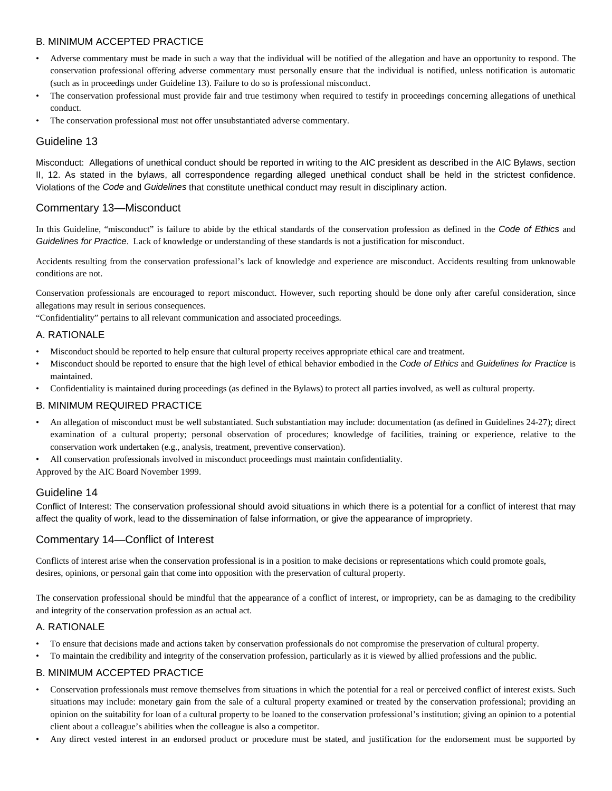### B. MINIMUM ACCEPTED PRACTICE

- Adverse commentary must be made in such a way that the individual will be notified of the allegation and have an opportunity to respond. The conservation professional offering adverse commentary must personally ensure that the individual is notified, unless notification is automatic (such as in proceedings under Guideline 13). Failure to do so is professional misconduct.
- The conservation professional must provide fair and true testimony when required to testify in proceedings concerning allegations of unethical conduct.
- The conservation professional must not offer unsubstantiated adverse commentary.

### Guideline 13

Misconduct: Allegations of unethical conduct should be reported in writing to the AIC president as described in the AIC Bylaws, section II, 12. As stated in the bylaws, all correspondence regarding alleged unethical conduct shall be held in the strictest confidence. Violations of the *Code* and *Guidelines* that constitute unethical conduct may result in disciplinary action.

### Commentary 13—Misconduct

In this Guideline, "misconduct" is failure to abide by the ethical standards of the conservation profession as defined in the *Code of Ethics* and *Guidelines for Practice*. Lack of knowledge or understanding of these standards is not a justification for misconduct.

Accidents resulting from the conservation professional's lack of knowledge and experience are misconduct. Accidents resulting from unknowable conditions are not.

Conservation professionals are encouraged to report misconduct. However, such reporting should be done only after careful consideration, since allegations may result in serious consequences.

"Confidentiality" pertains to all relevant communication and associated proceedings.

#### A. RATIONALE

- Misconduct should be reported to help ensure that cultural property receives appropriate ethical care and treatment.
- Misconduct should be reported to ensure that the high level of ethical behavior embodied in the *Code of Ethics* and *Guidelines for Practice* is maintained.
- Confidentiality is maintained during proceedings (as defined in the Bylaws) to protect all parties involved, as well as cultural property.

#### B. MINIMUM REQUIRED PRACTICE

- An allegation of misconduct must be well substantiated. Such substantiation may include: documentation (as defined in Guidelines 24-27); direct examination of a cultural property; personal observation of procedures; knowledge of facilities, training or experience, relative to the conservation work undertaken (e.g., analysis, treatment, preventive conservation).
- All conservation professionals involved in misconduct proceedings must maintain confidentiality.

Approved by the AIC Board November 1999.

#### Guideline 14

Conflict of Interest: The conservation professional should avoid situations in which there is a potential for a conflict of interest that may affect the quality of work, lead to the dissemination of false information, or give the appearance of impropriety.

### Commentary 14—Conflict of Interest

Conflicts of interest arise when the conservation professional is in a position to make decisions or representations which could promote goals, desires, opinions, or personal gain that come into opposition with the preservation of cultural property.

The conservation professional should be mindful that the appearance of a conflict of interest, or impropriety, can be as damaging to the credibility and integrity of the conservation profession as an actual act.

#### A. RATIONALE

- To ensure that decisions made and actions taken by conservation professionals do not compromise the preservation of cultural property.
- To maintain the credibility and integrity of the conservation profession, particularly as it is viewed by allied professions and the public.

- Conservation professionals must remove themselves from situations in which the potential for a real or perceived conflict of interest exists. Such situations may include: monetary gain from the sale of a cultural property examined or treated by the conservation professional; providing an opinion on the suitability for loan of a cultural property to be loaned to the conservation professional's institution; giving an opinion to a potential client about a colleague's abilities when the colleague is also a competitor.
- Any direct vested interest in an endorsed product or procedure must be stated, and justification for the endorsement must be supported by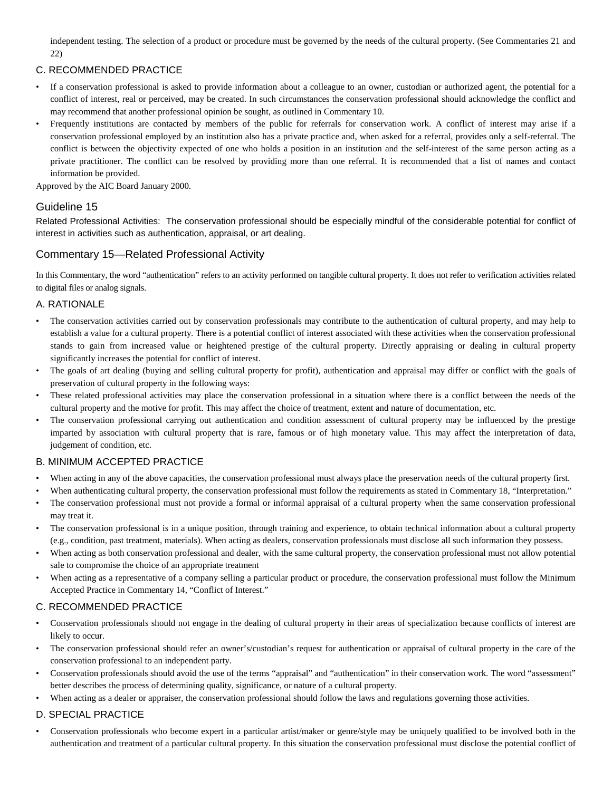independent testing. The selection of a product or procedure must be governed by the needs of the cultural property. (See Commentaries 21 and 22)

### C. RECOMMENDED PRACTICE

- If a conservation professional is asked to provide information about a colleague to an owner, custodian or authorized agent, the potential for a conflict of interest, real or perceived, may be created. In such circumstances the conservation professional should acknowledge the conflict and may recommend that another professional opinion be sought, as outlined in Commentary 10.
- Frequently institutions are contacted by members of the public for referrals for conservation work. A conflict of interest may arise if a conservation professional employed by an institution also has a private practice and, when asked for a referral, provides only a self-referral. The conflict is between the objectivity expected of one who holds a position in an institution and the self-interest of the same person acting as a private practitioner. The conflict can be resolved by providing more than one referral. It is recommended that a list of names and contact information be provided.

Approved by the AIC Board January 2000.

### Guideline 15

Related Professional Activities: The conservation professional should be especially mindful of the considerable potential for conflict of interest in activities such as authentication, appraisal, or art dealing.

### Commentary 15—Related Professional Activity

In this Commentary, the word "authentication" refers to an activity performed on tangible cultural property. It does not refer to verification activities related to digital files or analog signals.

### A. RATIONALE

- The conservation activities carried out by conservation professionals may contribute to the authentication of cultural property, and may help to establish a value for a cultural property. There is a potential conflict of interest associated with these activities when the conservation professional stands to gain from increased value or heightened prestige of the cultural property. Directly appraising or dealing in cultural property significantly increases the potential for conflict of interest.
- The goals of art dealing (buying and selling cultural property for profit), authentication and appraisal may differ or conflict with the goals of preservation of cultural property in the following ways:
- These related professional activities may place the conservation professional in a situation where there is a conflict between the needs of the cultural property and the motive for profit. This may affect the choice of treatment, extent and nature of documentation, etc.
- The conservation professional carrying out authentication and condition assessment of cultural property may be influenced by the prestige imparted by association with cultural property that is rare, famous or of high monetary value. This may affect the interpretation of data, judgement of condition, etc.

#### B. MINIMUM ACCEPTED PRACTICE

- When acting in any of the above capacities, the conservation professional must always place the preservation needs of the cultural property first.
- When authenticating cultural property, the conservation professional must follow the requirements as stated in Commentary 18, "Interpretation."
- The conservation professional must not provide a formal or informal appraisal of a cultural property when the same conservation professional may treat it.
- The conservation professional is in a unique position, through training and experience, to obtain technical information about a cultural property (e.g., condition, past treatment, materials). When acting as dealers, conservation professionals must disclose all such information they possess.
- When acting as both conservation professional and dealer, with the same cultural property, the conservation professional must not allow potential sale to compromise the choice of an appropriate treatment
- When acting as a representative of a company selling a particular product or procedure, the conservation professional must follow the Minimum Accepted Practice in Commentary 14, "Conflict of Interest."

#### C. RECOMMENDED PRACTICE

- Conservation professionals should not engage in the dealing of cultural property in their areas of specialization because conflicts of interest are likely to occur.
- The conservation professional should refer an owner's/custodian's request for authentication or appraisal of cultural property in the care of the conservation professional to an independent party.
- Conservation professionals should avoid the use of the terms "appraisal" and "authentication" in their conservation work. The word "assessment" better describes the process of determining quality, significance, or nature of a cultural property.
- When acting as a dealer or appraiser, the conservation professional should follow the laws and regulations governing those activities.

### D. SPECIAL PRACTICE

• Conservation professionals who become expert in a particular artist/maker or genre/style may be uniquely qualified to be involved both in the authentication and treatment of a particular cultural property. In this situation the conservation professional must disclose the potential conflict of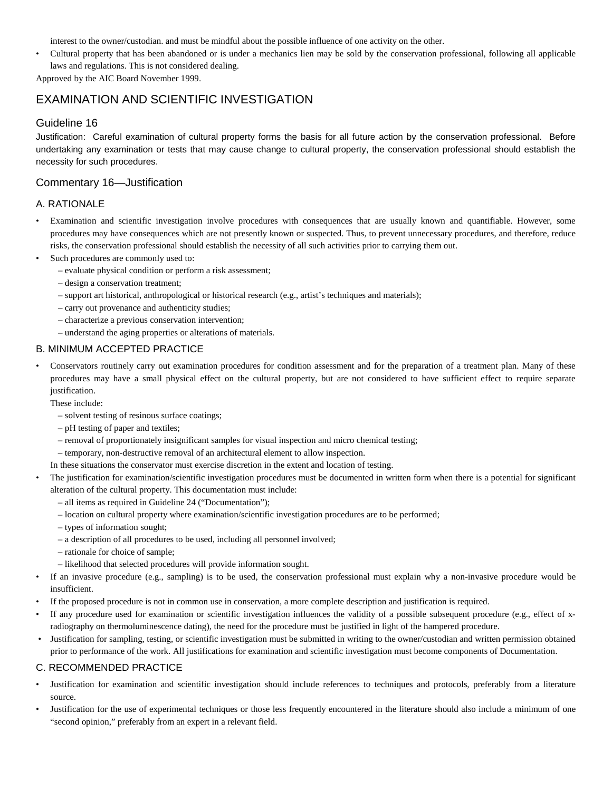interest to the owner/custodian. and must be mindful about the possible influence of one activity on the other.

• Cultural property that has been abandoned or is under a mechanics lien may be sold by the conservation professional, following all applicable laws and regulations. This is not considered dealing.

Approved by the AIC Board November 1999.

# EXAMINATION AND SCIENTIFIC INVESTIGATION

### Guideline 16

Justification: Careful examination of cultural property forms the basis for all future action by the conservation professional. Before undertaking any examination or tests that may cause change to cultural property, the conservation professional should establish the necessity for such procedures.

### Commentary 16—Justification

### A. RATIONALE

- Examination and scientific investigation involve procedures with consequences that are usually known and quantifiable. However, some procedures may have consequences which are not presently known or suspected. Thus, to prevent unnecessary procedures, and therefore, reduce risks, the conservation professional should establish the necessity of all such activities prior to carrying them out.
- Such procedures are commonly used to:
	- evaluate physical condition or perform a risk assessment;
	- design a conservation treatment;
	- support art historical, anthropological or historical research (e.g., artist's techniques and materials);
	- carry out provenance and authenticity studies;
	- characterize a previous conservation intervention;
	- understand the aging properties or alterations of materials.

### B. MINIMUM ACCEPTED PRACTICE

• Conservators routinely carry out examination procedures for condition assessment and for the preparation of a treatment plan. Many of these procedures may have a small physical effect on the cultural property, but are not considered to have sufficient effect to require separate justification.

These include:

- solvent testing of resinous surface coatings;
- pH testing of paper and textiles;
- removal of proportionately insignificant samples for visual inspection and micro chemical testing;
- temporary, non-destructive removal of an architectural element to allow inspection.

In these situations the conservator must exercise discretion in the extent and location of testing.

- The justification for examination/scientific investigation procedures must be documented in written form when there is a potential for significant alteration of the cultural property. This documentation must include:
	- all items as required in Guideline 24 ("Documentation");
	- location on cultural property where examination/scientific investigation procedures are to be performed;
	- types of information sought;
	- a description of all procedures to be used, including all personnel involved;
	- rationale for choice of sample;
	- likelihood that selected procedures will provide information sought.
- If an invasive procedure (e.g., sampling) is to be used, the conservation professional must explain why a non-invasive procedure would be insufficient.
- If the proposed procedure is not in common use in conservation, a more complete description and justification is required.
- If any procedure used for examination or scientific investigation influences the validity of a possible subsequent procedure (e.g., effect of xradiography on thermoluminescence dating), the need for the procedure must be justified in light of the hampered procedure.
- Justification for sampling, testing, or scientific investigation must be submitted in writing to the owner/custodian and written permission obtained prior to performance of the work. All justifications for examination and scientific investigation must become components of Documentation.

#### C. RECOMMENDED PRACTICE

- Justification for examination and scientific investigation should include references to techniques and protocols, preferably from a literature source.
- Justification for the use of experimental techniques or those less frequently encountered in the literature should also include a minimum of one "second opinion," preferably from an expert in a relevant field.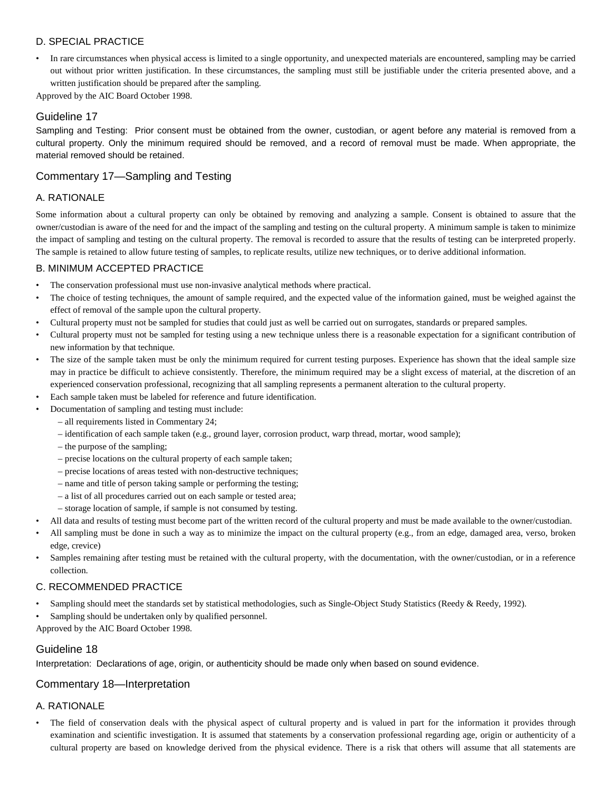### D. SPECIAL PRACTICE

• In rare circumstances when physical access is limited to a single opportunity, and unexpected materials are encountered, sampling may be carried out without prior written justification. In these circumstances, the sampling must still be justifiable under the criteria presented above, and a written justification should be prepared after the sampling.

Approved by the AIC Board October 1998.

#### Guideline 17

Sampling and Testing: Prior consent must be obtained from the owner, custodian, or agent before any material is removed from a cultural property. Only the minimum required should be removed, and a record of removal must be made. When appropriate, the material removed should be retained.

### Commentary 17—Sampling and Testing

### A. RATIONALE

Some information about a cultural property can only be obtained by removing and analyzing a sample. Consent is obtained to assure that the owner/custodian is aware of the need for and the impact of the sampling and testing on the cultural property. A minimum sample is taken to minimize the impact of sampling and testing on the cultural property. The removal is recorded to assure that the results of testing can be interpreted properly. The sample is retained to allow future testing of samples, to replicate results, utilize new techniques, or to derive additional information.

#### B. MINIMUM ACCEPTED PRACTICE

- The conservation professional must use non-invasive analytical methods where practical.
- The choice of testing techniques, the amount of sample required, and the expected value of the information gained, must be weighed against the effect of removal of the sample upon the cultural property.
- Cultural property must not be sampled for studies that could just as well be carried out on surrogates, standards or prepared samples.
- Cultural property must not be sampled for testing using a new technique unless there is a reasonable expectation for a significant contribution of new information by that technique.
- The size of the sample taken must be only the minimum required for current testing purposes. Experience has shown that the ideal sample size may in practice be difficult to achieve consistently. Therefore, the minimum required may be a slight excess of material, at the discretion of an experienced conservation professional, recognizing that all sampling represents a permanent alteration to the cultural property.
- Each sample taken must be labeled for reference and future identification.
- Documentation of sampling and testing must include:
	- all requirements listed in Commentary 24;
		- identification of each sample taken (e.g., ground layer, corrosion product, warp thread, mortar, wood sample);
		- the purpose of the sampling;
		- precise locations on the cultural property of each sample taken;
		- precise locations of areas tested with non-destructive techniques;
		- name and title of person taking sample or performing the testing;
		- a list of all procedures carried out on each sample or tested area;
		- storage location of sample, if sample is not consumed by testing.
- All data and results of testing must become part of the written record of the cultural property and must be made available to the owner/custodian.
- All sampling must be done in such a way as to minimize the impact on the cultural property (e.g., from an edge, damaged area, verso, broken edge, crevice)
- Samples remaining after testing must be retained with the cultural property, with the documentation, with the owner/custodian, or in a reference collection.

#### C. RECOMMENDED PRACTICE

- Sampling should meet the standards set by statistical methodologies, such as Single-Object Study Statistics (Reedy & Reedy, 1992).
- Sampling should be undertaken only by qualified personnel.

Approved by the AIC Board October 1998.

### Guideline 18

Interpretation: Declarations of age, origin, or authenticity should be made only when based on sound evidence.

### Commentary 18—Interpretation

#### A. RATIONALE

• The field of conservation deals with the physical aspect of cultural property and is valued in part for the information it provides through examination and scientific investigation. It is assumed that statements by a conservation professional regarding age, origin or authenticity of a cultural property are based on knowledge derived from the physical evidence. There is a risk that others will assume that all statements are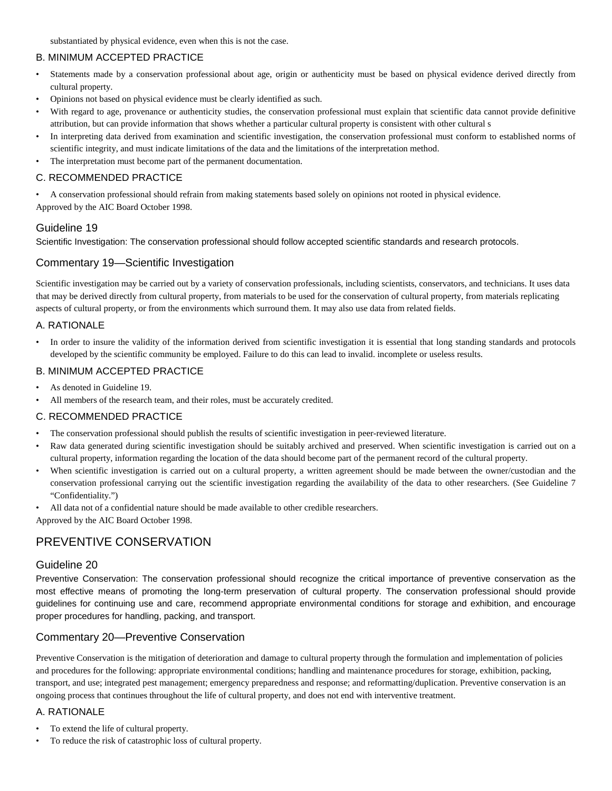substantiated by physical evidence, even when this is not the case.

# B. MINIMUM ACCEPTED PRACTICE

- Statements made by a conservation professional about age, origin or authenticity must be based on physical evidence derived directly from cultural property.
- Opinions not based on physical evidence must be clearly identified as such.
- With regard to age, provenance or authenticity studies, the conservation professional must explain that scientific data cannot provide definitive attribution, but can provide information that shows whether a particular cultural property is consistent with other cultural s
- In interpreting data derived from examination and scientific investigation, the conservation professional must conform to established norms of scientific integrity, and must indicate limitations of the data and the limitations of the interpretation method.
- The interpretation must become part of the permanent documentation.

### C. RECOMMENDED PRACTICE

• A conservation professional should refrain from making statements based solely on opinions not rooted in physical evidence.

Approved by the AIC Board October 1998.

### Guideline 19

Scientific Investigation: The conservation professional should follow accepted scientific standards and research protocols.

### Commentary 19—Scientific Investigation

Scientific investigation may be carried out by a variety of conservation professionals, including scientists, conservators, and technicians. It uses data that may be derived directly from cultural property, from materials to be used for the conservation of cultural property, from materials replicating aspects of cultural property, or from the environments which surround them. It may also use data from related fields.

### A. RATIONALE

• In order to insure the validity of the information derived from scientific investigation it is essential that long standing standards and protocols developed by the scientific community be employed. Failure to do this can lead to invalid. incomplete or useless results.

### B. MINIMUM ACCEPTED PRACTICE

- As denoted in Guideline 19.
- All members of the research team, and their roles, must be accurately credited.

#### C. RECOMMENDED PRACTICE

- The conservation professional should publish the results of scientific investigation in peer-reviewed literature.
- Raw data generated during scientific investigation should be suitably archived and preserved. When scientific investigation is carried out on a cultural property, information regarding the location of the data should become part of the permanent record of the cultural property.
- When scientific investigation is carried out on a cultural property, a written agreement should be made between the owner/custodian and the conservation professional carrying out the scientific investigation regarding the availability of the data to other researchers. (See Guideline 7 "Confidentiality.")
- All data not of a confidential nature should be made available to other credible researchers.

Approved by the AIC Board October 1998.

# PREVENTIVE CONSERVATION

### Guideline 20

Preventive Conservation: The conservation professional should recognize the critical importance of preventive conservation as the most effective means of promoting the long-term preservation of cultural property. The conservation professional should provide guidelines for continuing use and care, recommend appropriate environmental conditions for storage and exhibition, and encourage proper procedures for handling, packing, and transport.

### Commentary 20—Preventive Conservation

Preventive Conservation is the mitigation of deterioration and damage to cultural property through the formulation and implementation of policies and procedures for the following: appropriate environmental conditions; handling and maintenance procedures for storage, exhibition, packing, transport, and use; integrated pest management; emergency preparedness and response; and reformatting/duplication. Preventive conservation is an ongoing process that continues throughout the life of cultural property, and does not end with interventive treatment.

### A. RATIONALE

- To extend the life of cultural property.
- To reduce the risk of catastrophic loss of cultural property.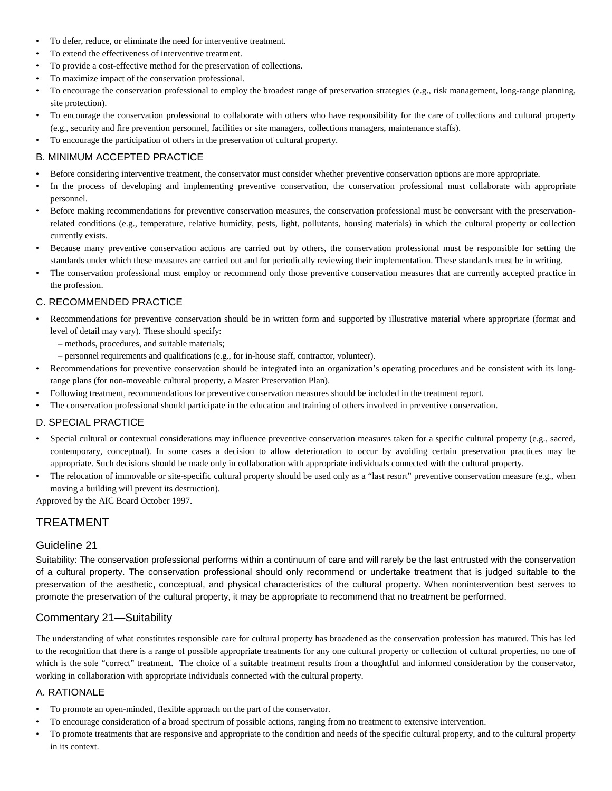- To defer, reduce, or eliminate the need for interventive treatment.
- To extend the effectiveness of interventive treatment.
- To provide a cost-effective method for the preservation of collections.
- To maximize impact of the conservation professional.
- To encourage the conservation professional to employ the broadest range of preservation strategies (e.g., risk management, long-range planning, site protection).
- To encourage the conservation professional to collaborate with others who have responsibility for the care of collections and cultural property (e.g., security and fire prevention personnel, facilities or site managers, collections managers, maintenance staffs).
- To encourage the participation of others in the preservation of cultural property.

### B. MINIMUM ACCEPTED PRACTICE

- Before considering interventive treatment, the conservator must consider whether preventive conservation options are more appropriate.
- In the process of developing and implementing preventive conservation, the conservation professional must collaborate with appropriate personnel.
- Before making recommendations for preventive conservation measures, the conservation professional must be conversant with the preservationrelated conditions (e.g., temperature, relative humidity, pests, light, pollutants, housing materials) in which the cultural property or collection currently exists.
- Because many preventive conservation actions are carried out by others, the conservation professional must be responsible for setting the standards under which these measures are carried out and for periodically reviewing their implementation. These standards must be in writing.
- The conservation professional must employ or recommend only those preventive conservation measures that are currently accepted practice in the profession.

### C. RECOMMENDED PRACTICE

- Recommendations for preventive conservation should be in written form and supported by illustrative material where appropriate (format and level of detail may vary). These should specify:
	- methods, procedures, and suitable materials;
	- personnel requirements and qualifications (e.g., for in-house staff, contractor, volunteer).
- Recommendations for preventive conservation should be integrated into an organization's operating procedures and be consistent with its longrange plans (for non-moveable cultural property, a Master Preservation Plan).
- Following treatment, recommendations for preventive conservation measures should be included in the treatment report.
- The conservation professional should participate in the education and training of others involved in preventive conservation.

#### D. SPECIAL PRACTICE

- Special cultural or contextual considerations may influence preventive conservation measures taken for a specific cultural property (e.g., sacred, contemporary, conceptual). In some cases a decision to allow deterioration to occur by avoiding certain preservation practices may be appropriate. Such decisions should be made only in collaboration with appropriate individuals connected with the cultural property.
- The relocation of immovable or site-specific cultural property should be used only as a "last resort" preventive conservation measure (e.g., when moving a building will prevent its destruction).

Approved by the AIC Board October 1997.

# TREATMENT

### Guideline 21

Suitability: The conservation professional performs within a continuum of care and will rarely be the last entrusted with the conservation of a cultural property. The conservation professional should only recommend or undertake treatment that is judged suitable to the preservation of the aesthetic, conceptual, and physical characteristics of the cultural property. When nonintervention best serves to promote the preservation of the cultural property, it may be appropriate to recommend that no treatment be performed.

### Commentary 21—Suitability

The understanding of what constitutes responsible care for cultural property has broadened as the conservation profession has matured. This has led to the recognition that there is a range of possible appropriate treatments for any one cultural property or collection of cultural properties, no one of which is the sole "correct" treatment. The choice of a suitable treatment results from a thoughtful and informed consideration by the conservator, working in collaboration with appropriate individuals connected with the cultural property.

#### A. RATIONALE

- To promote an open-minded, flexible approach on the part of the conservator.
- To encourage consideration of a broad spectrum of possible actions, ranging from no treatment to extensive intervention.
- To promote treatments that are responsive and appropriate to the condition and needs of the specific cultural property, and to the cultural property in its context.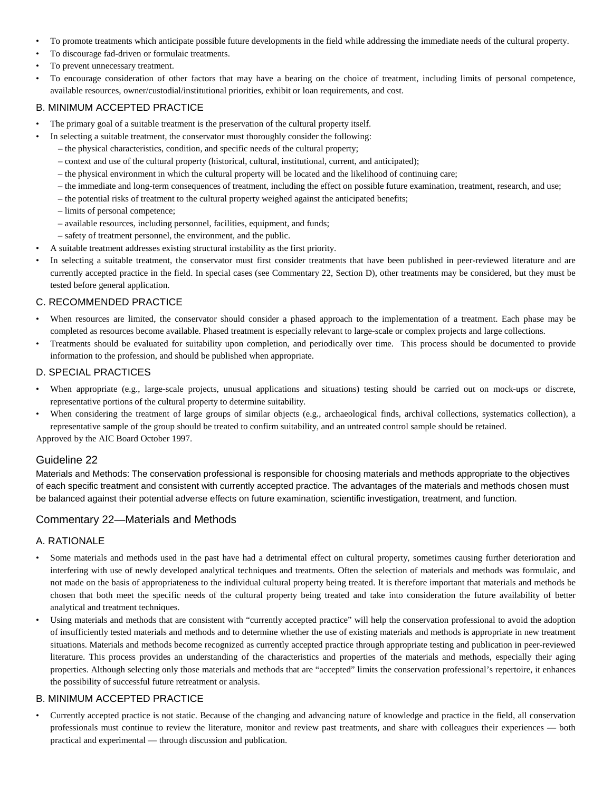- To promote treatments which anticipate possible future developments in the field while addressing the immediate needs of the cultural property.
- To discourage fad-driven or formulaic treatments.
- To prevent unnecessary treatment.
- To encourage consideration of other factors that may have a bearing on the choice of treatment, including limits of personal competence, available resources, owner/custodial/institutional priorities, exhibit or loan requirements, and cost.

#### B. MINIMUM ACCEPTED PRACTICE

- The primary goal of a suitable treatment is the preservation of the cultural property itself.
- In selecting a suitable treatment, the conservator must thoroughly consider the following:
	- the physical characteristics, condition, and specific needs of the cultural property;
	- context and use of the cultural property (historical, cultural, institutional, current, and anticipated);
	- the physical environment in which the cultural property will be located and the likelihood of continuing care;
	- the immediate and long-term consequences of treatment, including the effect on possible future examination, treatment, research, and use;
	- the potential risks of treatment to the cultural property weighed against the anticipated benefits;
	- limits of personal competence;
	- available resources, including personnel, facilities, equipment, and funds;
	- safety of treatment personnel, the environment, and the public.
- A suitable treatment addresses existing structural instability as the first priority.
- In selecting a suitable treatment, the conservator must first consider treatments that have been published in peer-reviewed literature and are currently accepted practice in the field. In special cases (see Commentary 22, Section D), other treatments may be considered, but they must be tested before general application.

#### C. RECOMMENDED PRACTICE

- When resources are limited, the conservator should consider a phased approach to the implementation of a treatment. Each phase may be completed as resources become available. Phased treatment is especially relevant to large-scale or complex projects and large collections.
- Treatments should be evaluated for suitability upon completion, and periodically over time. This process should be documented to provide information to the profession, and should be published when appropriate.

#### D. SPECIAL PRACTICES

- When appropriate (e.g., large-scale projects, unusual applications and situations) testing should be carried out on mock-ups or discrete, representative portions of the cultural property to determine suitability.
- When considering the treatment of large groups of similar objects (e.g., archaeological finds, archival collections, systematics collection), a representative sample of the group should be treated to confirm suitability, and an untreated control sample should be retained.

Approved by the AIC Board October 1997.

#### Guideline 22

Materials and Methods: The conservation professional is responsible for choosing materials and methods appropriate to the objectives of each specific treatment and consistent with currently accepted practice. The advantages of the materials and methods chosen must be balanced against their potential adverse effects on future examination, scientific investigation, treatment, and function.

#### Commentary 22—Materials and Methods

#### A. RATIONALE

- Some materials and methods used in the past have had a detrimental effect on cultural property, sometimes causing further deterioration and interfering with use of newly developed analytical techniques and treatments. Often the selection of materials and methods was formulaic, and not made on the basis of appropriateness to the individual cultural property being treated. It is therefore important that materials and methods be chosen that both meet the specific needs of the cultural property being treated and take into consideration the future availability of better analytical and treatment techniques.
- Using materials and methods that are consistent with "currently accepted practice" will help the conservation professional to avoid the adoption of insufficiently tested materials and methods and to determine whether the use of existing materials and methods is appropriate in new treatment situations. Materials and methods become recognized as currently accepted practice through appropriate testing and publication in peer-reviewed literature. This process provides an understanding of the characteristics and properties of the materials and methods, especially their aging properties. Although selecting only those materials and methods that are "accepted" limits the conservation professional's repertoire, it enhances the possibility of successful future retreatment or analysis.

#### B. MINIMUM ACCEPTED PRACTICE

• Currently accepted practice is not static. Because of the changing and advancing nature of knowledge and practice in the field, all conservation professionals must continue to review the literature, monitor and review past treatments, and share with colleagues their experiences — both practical and experimental — through discussion and publication.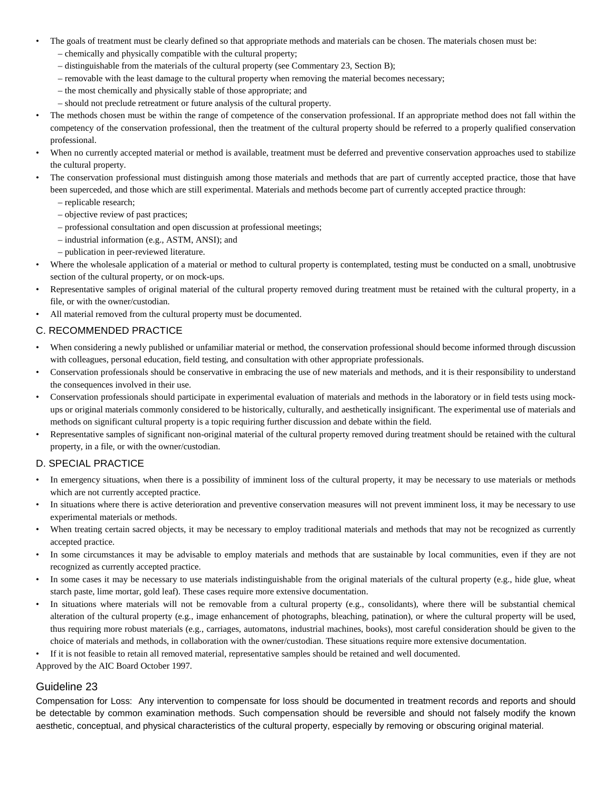- The goals of treatment must be clearly defined so that appropriate methods and materials can be chosen. The materials chosen must be:
	- chemically and physically compatible with the cultural property;
	- distinguishable from the materials of the cultural property (see Commentary 23, Section B);
	- removable with the least damage to the cultural property when removing the material becomes necessary;
	- the most chemically and physically stable of those appropriate; and
	- should not preclude retreatment or future analysis of the cultural property.
- The methods chosen must be within the range of competence of the conservation professional. If an appropriate method does not fall within the competency of the conservation professional, then the treatment of the cultural property should be referred to a properly qualified conservation professional.
- When no currently accepted material or method is available, treatment must be deferred and preventive conservation approaches used to stabilize the cultural property.
- The conservation professional must distinguish among those materials and methods that are part of currently accepted practice, those that have been superceded, and those which are still experimental. Materials and methods become part of currently accepted practice through:
	- replicable research;
	- objective review of past practices;
	- professional consultation and open discussion at professional meetings;
	- industrial information (e.g., ASTM, ANSI); and
	- publication in peer-reviewed literature.
- Where the wholesale application of a material or method to cultural property is contemplated, testing must be conducted on a small, unobtrusive section of the cultural property, or on mock-ups.
- Representative samples of original material of the cultural property removed during treatment must be retained with the cultural property, in a file, or with the owner/custodian.
- All material removed from the cultural property must be documented.

#### C. RECOMMENDED PRACTICE

- When considering a newly published or unfamiliar material or method, the conservation professional should become informed through discussion with colleagues, personal education, field testing, and consultation with other appropriate professionals.
- Conservation professionals should be conservative in embracing the use of new materials and methods, and it is their responsibility to understand the consequences involved in their use.
- Conservation professionals should participate in experimental evaluation of materials and methods in the laboratory or in field tests using mockups or original materials commonly considered to be historically, culturally, and aesthetically insignificant. The experimental use of materials and methods on significant cultural property is a topic requiring further discussion and debate within the field.
- Representative samples of significant non-original material of the cultural property removed during treatment should be retained with the cultural property, in a file, or with the owner/custodian.

#### D. SPECIAL PRACTICE

- In emergency situations, when there is a possibility of imminent loss of the cultural property, it may be necessary to use materials or methods which are not currently accepted practice.
- In situations where there is active deterioration and preventive conservation measures will not prevent imminent loss, it may be necessary to use experimental materials or methods.
- When treating certain sacred objects, it may be necessary to employ traditional materials and methods that may not be recognized as currently accepted practice.
- In some circumstances it may be advisable to employ materials and methods that are sustainable by local communities, even if they are not recognized as currently accepted practice.
- In some cases it may be necessary to use materials indistinguishable from the original materials of the cultural property (e.g., hide glue, wheat starch paste, lime mortar, gold leaf). These cases require more extensive documentation.
- In situations where materials will not be removable from a cultural property (e.g., consolidants), where there will be substantial chemical alteration of the cultural property (e.g., image enhancement of photographs, bleaching, patination), or where the cultural property will be used, thus requiring more robust materials (e.g., carriages, automatons, industrial machines, books), most careful consideration should be given to the choice of materials and methods, in collaboration with the owner/custodian. These situations require more extensive documentation.
- If it is not feasible to retain all removed material, representative samples should be retained and well documented.

Approved by the AIC Board October 1997.

#### Guideline 23

Compensation for Loss: Any intervention to compensate for loss should be documented in treatment records and reports and should be detectable by common examination methods. Such compensation should be reversible and should not falsely modify the known aesthetic, conceptual, and physical characteristics of the cultural property, especially by removing or obscuring original material.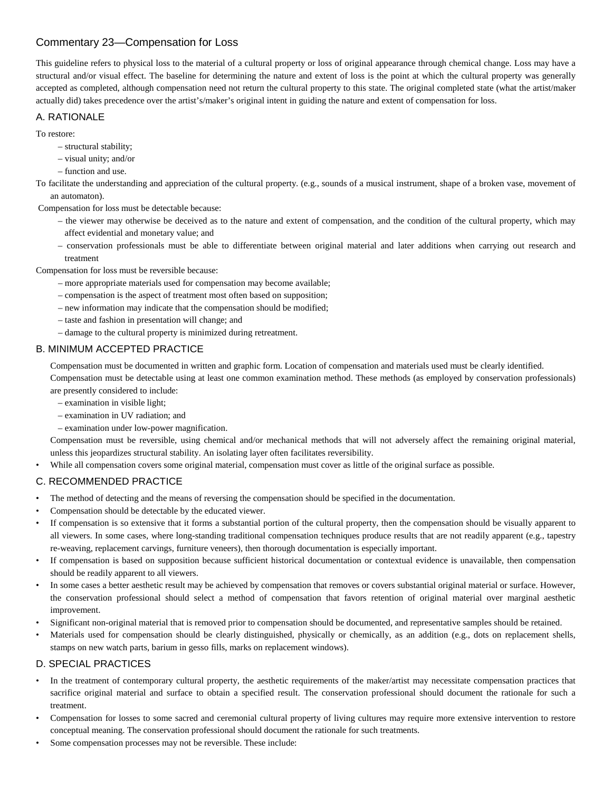# Commentary 23—Compensation for Loss

This guideline refers to physical loss to the material of a cultural property or loss of original appearance through chemical change. Loss may have a structural and/or visual effect. The baseline for determining the nature and extent of loss is the point at which the cultural property was generally accepted as completed, although compensation need not return the cultural property to this state. The original completed state (what the artist/maker actually did) takes precedence over the artist's/maker's original intent in guiding the nature and extent of compensation for loss.

#### A. RATIONALE

To restore:

- structural stability;
- visual unity; and/or
- function and use.

To facilitate the understanding and appreciation of the cultural property. (e.g., sounds of a musical instrument, shape of a broken vase, movement of an automaton).

Compensation for loss must be detectable because:

- the viewer may otherwise be deceived as to the nature and extent of compensation, and the condition of the cultural property, which may affect evidential and monetary value; and
- conservation professionals must be able to differentiate between original material and later additions when carrying out research and treatment

Compensation for loss must be reversible because:

- more appropriate materials used for compensation may become available;
- compensation is the aspect of treatment most often based on supposition;
- new information may indicate that the compensation should be modified;
- taste and fashion in presentation will change; and
- damage to the cultural property is minimized during retreatment.

### B. MINIMUM ACCEPTED PRACTICE

Compensation must be documented in written and graphic form. Location of compensation and materials used must be clearly identified.

Compensation must be detectable using at least one common examination method. These methods (as employed by conservation professionals) are presently considered to include:

- examination in visible light;
- examination in UV radiation; and
- examination under low-power magnification.

Compensation must be reversible, using chemical and/or mechanical methods that will not adversely affect the remaining original material, unless this jeopardizes structural stability. An isolating layer often facilitates reversibility.

• While all compensation covers some original material, compensation must cover as little of the original surface as possible.

#### C. RECOMMENDED PRACTICE

- The method of detecting and the means of reversing the compensation should be specified in the documentation.
- Compensation should be detectable by the educated viewer.
- If compensation is so extensive that it forms a substantial portion of the cultural property, then the compensation should be visually apparent to all viewers. In some cases, where long-standing traditional compensation techniques produce results that are not readily apparent (e.g., tapestry re-weaving, replacement carvings, furniture veneers), then thorough documentation is especially important.
- If compensation is based on supposition because sufficient historical documentation or contextual evidence is unavailable, then compensation should be readily apparent to all viewers.
- In some cases a better aesthetic result may be achieved by compensation that removes or covers substantial original material or surface. However, the conservation professional should select a method of compensation that favors retention of original material over marginal aesthetic improvement.
- Significant non-original material that is removed prior to compensation should be documented, and representative samples should be retained.
- Materials used for compensation should be clearly distinguished, physically or chemically, as an addition (e.g., dots on replacement shells, stamps on new watch parts, barium in gesso fills, marks on replacement windows).

#### D. SPECIAL PRACTICES

- In the treatment of contemporary cultural property, the aesthetic requirements of the maker/artist may necessitate compensation practices that sacrifice original material and surface to obtain a specified result. The conservation professional should document the rationale for such a treatment.
- Compensation for losses to some sacred and ceremonial cultural property of living cultures may require more extensive intervention to restore conceptual meaning. The conservation professional should document the rationale for such treatments.
- Some compensation processes may not be reversible. These include: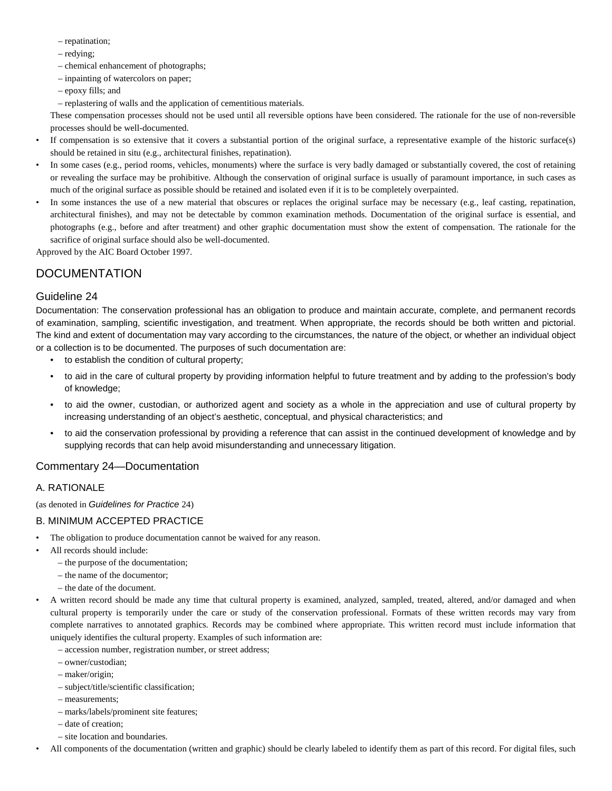- repatination;
- redying;
- chemical enhancement of photographs;
- inpainting of watercolors on paper;
- epoxy fills; and
- replastering of walls and the application of cementitious materials.

These compensation processes should not be used until all reversible options have been considered. The rationale for the use of non-reversible processes should be well-documented.

- If compensation is so extensive that it covers a substantial portion of the original surface, a representative example of the historic surface(s) should be retained in situ (e.g., architectural finishes, repatination).
- In some cases (e.g., period rooms, vehicles, monuments) where the surface is very badly damaged or substantially covered, the cost of retaining or revealing the surface may be prohibitive. Although the conservation of original surface is usually of paramount importance, in such cases as much of the original surface as possible should be retained and isolated even if it is to be completely overpainted.
- In some instances the use of a new material that obscures or replaces the original surface may be necessary (e.g., leaf casting, repatination, architectural finishes), and may not be detectable by common examination methods. Documentation of the original surface is essential, and photographs (e.g., before and after treatment) and other graphic documentation must show the extent of compensation. The rationale for the sacrifice of original surface should also be well-documented.

Approved by the AIC Board October 1997.

# **DOCUMENTATION**

### Guideline 24

Documentation: The conservation professional has an obligation to produce and maintain accurate, complete, and permanent records of examination, sampling, scientific investigation, and treatment. When appropriate, the records should be both written and pictorial. The kind and extent of documentation may vary according to the circumstances, the nature of the object, or whether an individual object or a collection is to be documented. The purposes of such documentation are:

- to establish the condition of cultural property;
- to aid in the care of cultural property by providing information helpful to future treatment and by adding to the profession's body of knowledge;
- to aid the owner, custodian, or authorized agent and society as a whole in the appreciation and use of cultural property by increasing understanding of an object's aesthetic, conceptual, and physical characteristics; and
- to aid the conservation professional by providing a reference that can assist in the continued development of knowledge and by supplying records that can help avoid misunderstanding and unnecessary litigation.

### Commentary 24—Documentation

### A. RATIONALE

(as denoted in *Guidelines for Practice* 24)

### B. MINIMUM ACCEPTED PRACTICE

- The obligation to produce documentation cannot be waived for any reason.
- All records should include:
	- the purpose of the documentation;
	- the name of the documentor;
	- the date of the document.

• A written record should be made any time that cultural property is examined, analyzed, sampled, treated, altered, and/or damaged and when cultural property is temporarily under the care or study of the conservation professional. Formats of these written records may vary from complete narratives to annotated graphics. Records may be combined where appropriate. This written record must include information that uniquely identifies the cultural property. Examples of such information are:

- accession number, registration number, or street address;
- owner/custodian;
- maker/origin;
- subject/title/scientific classification;
- measurements;
- marks/labels/prominent site features;
- date of creation;
- site location and boundaries.

• All components of the documentation (written and graphic) should be clearly labeled to identify them as part of this record. For digital files, such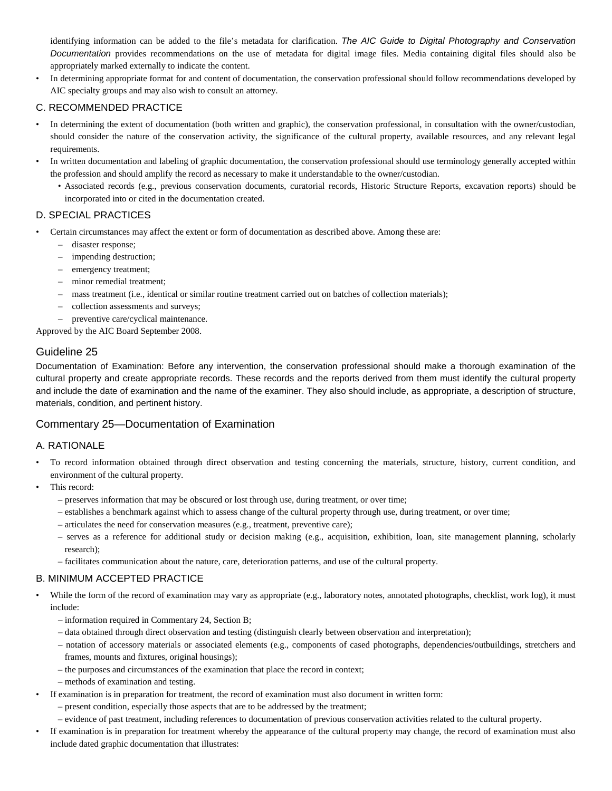identifying information can be added to the file's metadata for clarification. *The AIC Guide to Digital Photography and Conservation Documentation* provides recommendations on the use of metadata for digital image files. Media containing digital files should also be appropriately marked externally to indicate the content.

• In determining appropriate format for and content of documentation, the conservation professional should follow recommendations developed by AIC specialty groups and may also wish to consult an attorney.

### C. RECOMMENDED PRACTICE

- In determining the extent of documentation (both written and graphic), the conservation professional, in consultation with the owner/custodian, should consider the nature of the conservation activity, the significance of the cultural property, available resources, and any relevant legal requirements.
- In written documentation and labeling of graphic documentation, the conservation professional should use terminology generally accepted within the profession and should amplify the record as necessary to make it understandable to the owner/custodian.
	- Associated records (e.g., previous conservation documents, curatorial records, Historic Structure Reports, excavation reports) should be incorporated into or cited in the documentation created.

#### D. SPECIAL PRACTICES

- Certain circumstances may affect the extent or form of documentation as described above. Among these are:
	- disaster response;
	- impending destruction;
	- emergency treatment;
	- minor remedial treatment;
	- mass treatment (i.e., identical or similar routine treatment carried out on batches of collection materials);
	- collection assessments and surveys;
	- preventive care/cyclical maintenance.

Approved by the AIC Board September 2008.

### Guideline 25

Documentation of Examination: Before any intervention, the conservation professional should make a thorough examination of the cultural property and create appropriate records. These records and the reports derived from them must identify the cultural property and include the date of examination and the name of the examiner. They also should include, as appropriate, a description of structure, materials, condition, and pertinent history.

### Commentary 25—Documentation of Examination

#### A. RATIONALE

- To record information obtained through direct observation and testing concerning the materials, structure, history, current condition, and environment of the cultural property.
- This record:
	- preserves information that may be obscured or lost through use, during treatment, or over time;
	- establishes a benchmark against which to assess change of the cultural property through use, during treatment, or over time;
	- articulates the need for conservation measures (e.g., treatment, preventive care);
	- serves as a reference for additional study or decision making (e.g., acquisition, exhibition, loan, site management planning, scholarly research);
	- facilitates communication about the nature, care, deterioration patterns, and use of the cultural property.

- While the form of the record of examination may vary as appropriate (e.g., laboratory notes, annotated photographs, checklist, work log), it must include:
	- information required in Commentary 24, Section B;
	- data obtained through direct observation and testing (distinguish clearly between observation and interpretation);
	- notation of accessory materials or associated elements (e.g., components of cased photographs, dependencies/outbuildings, stretchers and frames, mounts and fixtures, original housings);
	- the purposes and circumstances of the examination that place the record in context;
	- methods of examination and testing.
- If examination is in preparation for treatment, the record of examination must also document in written form:
	- present condition, especially those aspects that are to be addressed by the treatment;
	- evidence of past treatment, including references to documentation of previous conservation activities related to the cultural property.
- If examination is in preparation for treatment whereby the appearance of the cultural property may change, the record of examination must also include dated graphic documentation that illustrates: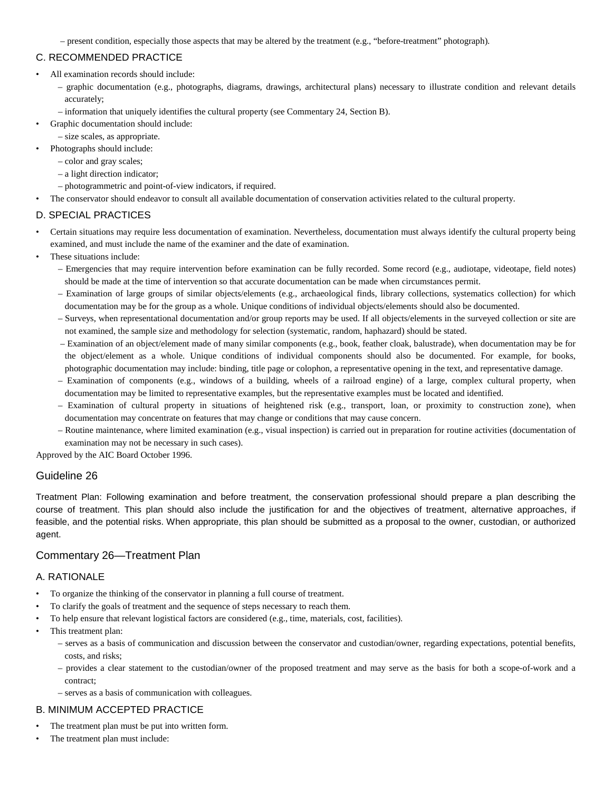– present condition, especially those aspects that may be altered by the treatment (e.g., "before-treatment" photograph).

### C. RECOMMENDED PRACTICE

- All examination records should include:
	- graphic documentation (e.g., photographs, diagrams, drawings, architectural plans) necessary to illustrate condition and relevant details accurately;
	- information that uniquely identifies the cultural property (see Commentary 24, Section B).
- Graphic documentation should include:
	- size scales, as appropriate.
- Photographs should include:
	- color and gray scales;
	- a light direction indicator;
	- photogrammetric and point-of-view indicators, if required.
- The conservator should endeavor to consult all available documentation of conservation activities related to the cultural property.

### D. SPECIAL PRACTICES

- Certain situations may require less documentation of examination. Nevertheless, documentation must always identify the cultural property being examined, and must include the name of the examiner and the date of examination.
- These situations include:
	- Emergencies that may require intervention before examination can be fully recorded. Some record (e.g., audiotape, videotape, field notes) should be made at the time of intervention so that accurate documentation can be made when circumstances permit.
	- Examination of large groups of similar objects/elements (e.g., archaeological finds, library collections, systematics collection) for which documentation may be for the group as a whole. Unique conditions of individual objects/elements should also be documented.
	- Surveys, when representational documentation and/or group reports may be used. If all objects/elements in the surveyed collection or site are not examined, the sample size and methodology for selection (systematic, random, haphazard) should be stated.
	- Examination of an object/element made of many similar components (e.g., book, feather cloak, balustrade), when documentation may be for the object/element as a whole. Unique conditions of individual components should also be documented. For example, for books, photographic documentation may include: binding, title page or colophon, a representative opening in the text, and representative damage.
	- Examination of components (e.g., windows of a building, wheels of a railroad engine) of a large, complex cultural property, when documentation may be limited to representative examples, but the representative examples must be located and identified.
	- Examination of cultural property in situations of heightened risk (e.g., transport, loan, or proximity to construction zone), when documentation may concentrate on features that may change or conditions that may cause concern.
	- Routine maintenance, where limited examination (e.g., visual inspection) is carried out in preparation for routine activities (documentation of examination may not be necessary in such cases).

Approved by the AIC Board October 1996.

### Guideline 26

Treatment Plan: Following examination and before treatment, the conservation professional should prepare a plan describing the course of treatment. This plan should also include the justification for and the objectives of treatment, alternative approaches, if feasible, and the potential risks. When appropriate, this plan should be submitted as a proposal to the owner, custodian, or authorized agent.

### Commentary 26—Treatment Plan

#### A. RATIONALE

- To organize the thinking of the conservator in planning a full course of treatment.
- To clarify the goals of treatment and the sequence of steps necessary to reach them.
- To help ensure that relevant logistical factors are considered (e.g., time, materials, cost, facilities).
- This treatment plan:
	- serves as a basis of communication and discussion between the conservator and custodian/owner, regarding expectations, potential benefits, costs, and risks;
	- provides a clear statement to the custodian/owner of the proposed treatment and may serve as the basis for both a scope-of-work and a contract;
	- serves as a basis of communication with colleagues.

- The treatment plan must be put into written form.
- The treatment plan must include: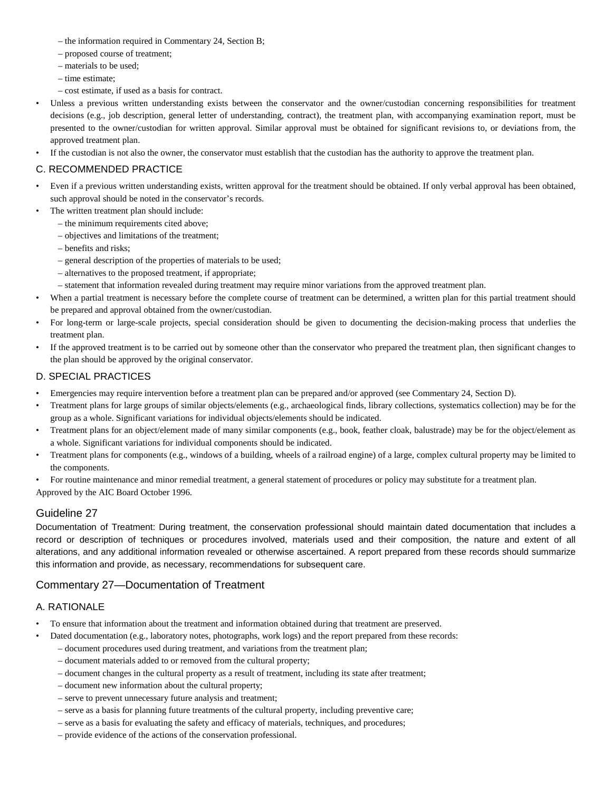- the information required in Commentary 24, Section B;
- proposed course of treatment;
- materials to be used;
- time estimate;
- cost estimate, if used as a basis for contract.
- Unless a previous written understanding exists between the conservator and the owner/custodian concerning responsibilities for treatment decisions (e.g., job description, general letter of understanding, contract), the treatment plan, with accompanying examination report, must be presented to the owner/custodian for written approval. Similar approval must be obtained for significant revisions to, or deviations from, the approved treatment plan.
- If the custodian is not also the owner, the conservator must establish that the custodian has the authority to approve the treatment plan.

#### C. RECOMMENDED PRACTICE

- Even if a previous written understanding exists, written approval for the treatment should be obtained. If only verbal approval has been obtained, such approval should be noted in the conservator's records.
	- The written treatment plan should include:
		- the minimum requirements cited above;
		- objectives and limitations of the treatment;
		- benefits and risks;
		- general description of the properties of materials to be used;
		- alternatives to the proposed treatment, if appropriate;
		- statement that information revealed during treatment may require minor variations from the approved treatment plan.
- When a partial treatment is necessary before the complete course of treatment can be determined, a written plan for this partial treatment should be prepared and approval obtained from the owner/custodian.
- For long-term or large-scale projects, special consideration should be given to documenting the decision-making process that underlies the treatment plan.
- If the approved treatment is to be carried out by someone other than the conservator who prepared the treatment plan, then significant changes to the plan should be approved by the original conservator.

### D. SPECIAL PRACTICES

- Emergencies may require intervention before a treatment plan can be prepared and/or approved (see Commentary 24, Section D).
- Treatment plans for large groups of similar objects/elements (e.g., archaeological finds, library collections, systematics collection) may be for the group as a whole. Significant variations for individual objects/elements should be indicated.
- Treatment plans for an object/element made of many similar components (e.g., book, feather cloak, balustrade) may be for the object/element as a whole. Significant variations for individual components should be indicated.
- Treatment plans for components (e.g., windows of a building, wheels of a railroad engine) of a large, complex cultural property may be limited to the components.
- For routine maintenance and minor remedial treatment, a general statement of procedures or policy may substitute for a treatment plan.
- Approved by the AIC Board October 1996.

### Guideline 27

Documentation of Treatment: During treatment, the conservation professional should maintain dated documentation that includes a record or description of techniques or procedures involved, materials used and their composition, the nature and extent of all alterations, and any additional information revealed or otherwise ascertained. A report prepared from these records should summarize this information and provide, as necessary, recommendations for subsequent care.

### Commentary 27—Documentation of Treatment

#### A. RATIONALE

- To ensure that information about the treatment and information obtained during that treatment are preserved.
- Dated documentation (e.g., laboratory notes, photographs, work logs) and the report prepared from these records:
	- document procedures used during treatment, and variations from the treatment plan;
	- document materials added to or removed from the cultural property;
	- document changes in the cultural property as a result of treatment, including its state after treatment;
	- document new information about the cultural property;
	- serve to prevent unnecessary future analysis and treatment;
	- serve as a basis for planning future treatments of the cultural property, including preventive care;
	- serve as a basis for evaluating the safety and efficacy of materials, techniques, and procedures;
	- provide evidence of the actions of the conservation professional.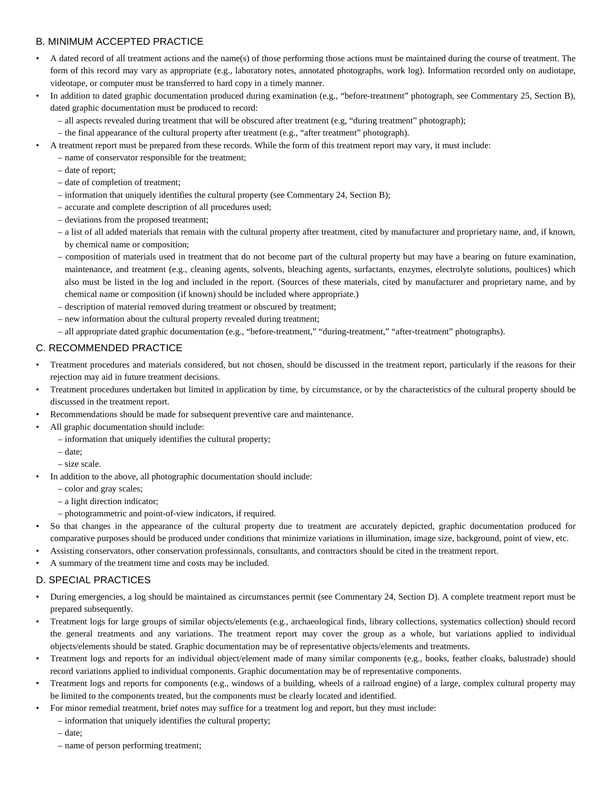### B. MINIMUM ACCEPTED PRACTICE

- A dated record of all treatment actions and the name(s) of those performing those actions must be maintained during the course of treatment. The form of this record may vary as appropriate (e.g., laboratory notes, annotated photographs, work log). Information recorded only on audiotape, videotape, or computer must be transferred to hard copy in a timely manner.
- In addition to dated graphic documentation produced during examination (e.g., "before-treatment" photograph, see Commentary 25, Section B), dated graphic documentation must be produced to record:
	- all aspects revealed during treatment that will be obscured after treatment (e.g, "during treatment" photograph);
	- the final appearance of the cultural property after treatment (e.g., "after treatment" photograph).
	- A treatment report must be prepared from these records. While the form of this treatment report may vary, it must include:
	- name of conservator responsible for the treatment;
		- date of report;
		- date of completion of treatment;
		- information that uniquely identifies the cultural property (see Commentary 24, Section B);
		- accurate and complete description of all procedures used;
		- deviations from the proposed treatment;
		- a list of all added materials that remain with the cultural property after treatment, cited by manufacturer and proprietary name, and, if known, by chemical name or composition;
		- composition of materials used in treatment that do not become part of the cultural property but may have a bearing on future examination, maintenance, and treatment (e.g., cleaning agents, solvents, bleaching agents, surfactants, enzymes, electrolyte solutions, poultices) which also must be listed in the log and included in the report. (Sources of these materials, cited by manufacturer and proprietary name, and by chemical name or composition (if known) should be included where appropriate.)
		- description of material removed during treatment or obscured by treatment;
		- new information about the cultural property revealed during treatment;
		- all appropriate dated graphic documentation (e.g., "before-treatment," "during-treatment," "after-treatment" photographs).

### C. RECOMMENDED PRACTICE

- Treatment procedures and materials considered, but not chosen, should be discussed in the treatment report, particularly if the reasons for their rejection may aid in future treatment decisions.
- Treatment procedures undertaken but limited in application by time, by circumstance, or by the characteristics of the cultural property should be discussed in the treatment report.
- Recommendations should be made for subsequent preventive care and maintenance.
- All graphic documentation should include:
	- information that uniquely identifies the cultural property;
	- date;
	- size scale.
- In addition to the above, all photographic documentation should include:
	- color and gray scales;
	- a light direction indicator;
	- photogrammetric and point-of-view indicators, if required.
- So that changes in the appearance of the cultural property due to treatment are accurately depicted, graphic documentation produced for comparative purposes should be produced under conditions that minimize variations in illumination, image size, background, point of view, etc.
- Assisting conservators, other conservation professionals, consultants, and contractors should be cited in the treatment report.
- A summary of the treatment time and costs may be included.

### D. SPECIAL PRACTICES

- During emergencies, a log should be maintained as circumstances permit (see Commentary 24, Section D). A complete treatment report must be prepared subsequently.
- Treatment logs for large groups of similar objects/elements (e.g., archaeological finds, library collections, systematics collection) should record the general treatments and any variations. The treatment report may cover the group as a whole, but variations applied to individual objects/elements should be stated. Graphic documentation may be of representative objects/elements and treatments.
- Treatment logs and reports for an individual object/element made of many similar components (e.g., books, feather cloaks, balustrade) should record variations applied to individual components. Graphic documentation may be of representative components.
- Treatment logs and reports for components (e.g., windows of a building, wheels of a railroad engine) of a large, complex cultural property may be limited to the components treated, but the components must be clearly located and identified.
	- For minor remedial treatment, brief notes may suffice for a treatment log and report, but they must include:
	- information that uniquely identifies the cultural property;

– date;

– name of person performing treatment;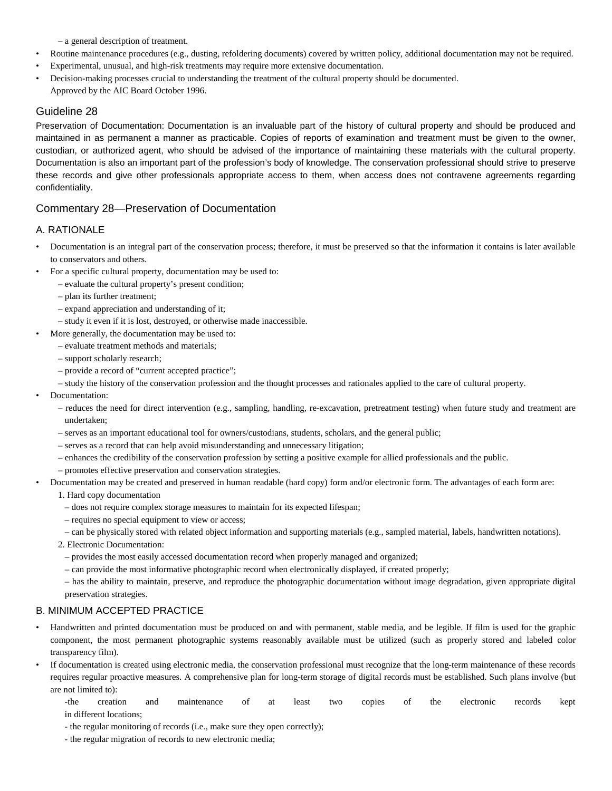– a general description of treatment.

- Routine maintenance procedures (e.g., dusting, refoldering documents) covered by written policy, additional documentation may not be required.
- Experimental, unusual, and high-risk treatments may require more extensive documentation.
- Decision-making processes crucial to understanding the treatment of the cultural property should be documented. Approved by the AIC Board October 1996.

### Guideline 28

Preservation of Documentation: Documentation is an invaluable part of the history of cultural property and should be produced and maintained in as permanent a manner as practicable. Copies of reports of examination and treatment must be given to the owner, custodian, or authorized agent, who should be advised of the importance of maintaining these materials with the cultural property. Documentation is also an important part of the profession's body of knowledge. The conservation professional should strive to preserve these records and give other professionals appropriate access to them, when access does not contravene agreements regarding confidentiality.

### Commentary 28—Preservation of Documentation

### A. RATIONALE

- Documentation is an integral part of the conservation process; therefore, it must be preserved so that the information it contains is later available to conservators and others.
- For a specific cultural property, documentation may be used to:
	- evaluate the cultural property's present condition;
	- plan its further treatment;
	- expand appreciation and understanding of it;
	- study it even if it is lost, destroyed, or otherwise made inaccessible.
- More generally, the documentation may be used to:
	- evaluate treatment methods and materials;
	- support scholarly research;
	- provide a record of "current accepted practice";
	- study the history of the conservation profession and the thought processes and rationales applied to the care of cultural property.
- Documentation:
	- reduces the need for direct intervention (e.g., sampling, handling, re-excavation, pretreatment testing) when future study and treatment are undertaken;
	- serves as an important educational tool for owners/custodians, students, scholars, and the general public;
	- serves as a record that can help avoid misunderstanding and unnecessary litigation;
	- enhances the credibility of the conservation profession by setting a positive example for allied professionals and the public.
	- promotes effective preservation and conservation strategies.
- Documentation may be created and preserved in human readable (hard copy) form and/or electronic form. The advantages of each form are:
	- 1. Hard copy documentation
	- does not require complex storage measures to maintain for its expected lifespan;
	- requires no special equipment to view or access;
	- can be physically stored with related object information and supporting materials (e.g., sampled material, labels, handwritten notations).
	- 2. Electronic Documentation:
		- provides the most easily accessed documentation record when properly managed and organized;
		- can provide the most informative photographic record when electronically displayed, if created properly;

– has the ability to maintain, preserve, and reproduce the photographic documentation without image degradation, given appropriate digital preservation strategies.

- Handwritten and printed documentation must be produced on and with permanent, stable media, and be legible. If film is used for the graphic component, the most permanent photographic systems reasonably available must be utilized (such as properly stored and labeled color transparency film).
- If documentation is created using electronic media, the conservation professional must recognize that the long-term maintenance of these records requires regular proactive measures. A comprehensive plan for long-term storage of digital records must be established. Such plans involve (but are not limited to):
	- -the creation and maintenance of at least two copies of the electronic records kept in different locations;
	- the regular monitoring of records (i.e., make sure they open correctly);
	- the regular migration of records to new electronic media;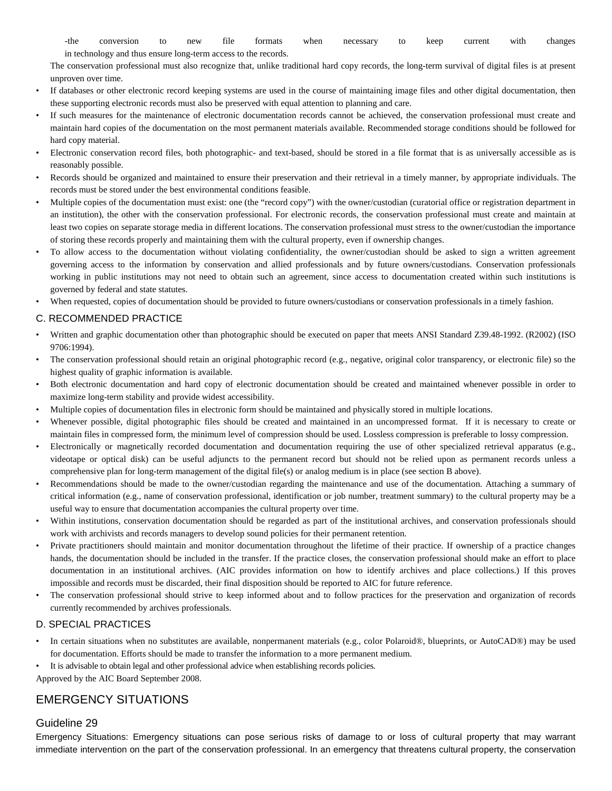-the conversion to new file formats when necessary to keep current with changes in technology and thus ensure long-term access to the records.

The conservation professional must also recognize that, unlike traditional hard copy records, the long-term survival of digital files is at present unproven over time.

- If databases or other electronic record keeping systems are used in the course of maintaining image files and other digital documentation, then these supporting electronic records must also be preserved with equal attention to planning and care.
- If such measures for the maintenance of electronic documentation records cannot be achieved, the conservation professional must create and maintain hard copies of the documentation on the most permanent materials available. Recommended storage conditions should be followed for hard copy material.
- Electronic conservation record files, both photographic- and text-based, should be stored in a file format that is as universally accessible as is reasonably possible.
- Records should be organized and maintained to ensure their preservation and their retrieval in a timely manner, by appropriate individuals. The records must be stored under the best environmental conditions feasible.
- Multiple copies of the documentation must exist: one (the "record copy") with the owner/custodian (curatorial office or registration department in an institution), the other with the conservation professional. For electronic records, the conservation professional must create and maintain at least two copies on separate storage media in different locations. The conservation professional must stress to the owner/custodian the importance of storing these records properly and maintaining them with the cultural property, even if ownership changes.
- To allow access to the documentation without violating confidentiality, the owner/custodian should be asked to sign a written agreement governing access to the information by conservation and allied professionals and by future owners/custodians. Conservation professionals working in public institutions may not need to obtain such an agreement, since access to documentation created within such institutions is governed by federal and state statutes.
- When requested, copies of documentation should be provided to future owners/custodians or conservation professionals in a timely fashion.

#### C. RECOMMENDED PRACTICE

- Written and graphic documentation other than photographic should be executed on paper that meets ANSI Standard Z39.48-1992. (R2002) (ISO 9706:1994).
- The conservation professional should retain an original photographic record (e.g., negative, original color transparency, or electronic file) so the highest quality of graphic information is available.
- Both electronic documentation and hard copy of electronic documentation should be created and maintained whenever possible in order to maximize long-term stability and provide widest accessibility.
- Multiple copies of documentation files in electronic form should be maintained and physically stored in multiple locations.
- Whenever possible, digital photographic files should be created and maintained in an uncompressed format. If it is necessary to create or maintain files in compressed form, the minimum level of compression should be used. Lossless compression is preferable to lossy compression.
- Electronically or magnetically recorded documentation and documentation requiring the use of other specialized retrieval apparatus (e.g., videotape or optical disk) can be useful adjuncts to the permanent record but should not be relied upon as permanent records unless a comprehensive plan for long-term management of the digital file(s) or analog medium is in place (see section B above).
- Recommendations should be made to the owner/custodian regarding the maintenance and use of the documentation. Attaching a summary of critical information (e.g., name of conservation professional, identification or job number, treatment summary) to the cultural property may be a useful way to ensure that documentation accompanies the cultural property over time.
- Within institutions, conservation documentation should be regarded as part of the institutional archives, and conservation professionals should work with archivists and records managers to develop sound policies for their permanent retention.
- Private practitioners should maintain and monitor documentation throughout the lifetime of their practice. If ownership of a practice changes hands, the documentation should be included in the transfer. If the practice closes, the conservation professional should make an effort to place documentation in an institutional archives. (AIC provides information on how to identify archives and place collections.) If this proves impossible and records must be discarded, their final disposition should be reported to AIC for future reference.
- The conservation professional should strive to keep informed about and to follow practices for the preservation and organization of records currently recommended by archives professionals.

#### D. SPECIAL PRACTICES

- In certain situations when no substitutes are available, nonpermanent materials (e.g., color Polaroid®, blueprints, or AutoCAD®) may be used for documentation. Efforts should be made to transfer the information to a more permanent medium.
- It is advisable to obtain legal and other professional advice when establishing records policies.

Approved by the AIC Board September 2008.

# EMERGENCY SITUATIONS

#### Guideline 29

Emergency Situations: Emergency situations can pose serious risks of damage to or loss of cultural property that may warrant immediate intervention on the part of the conservation professional. In an emergency that threatens cultural property, the conservation